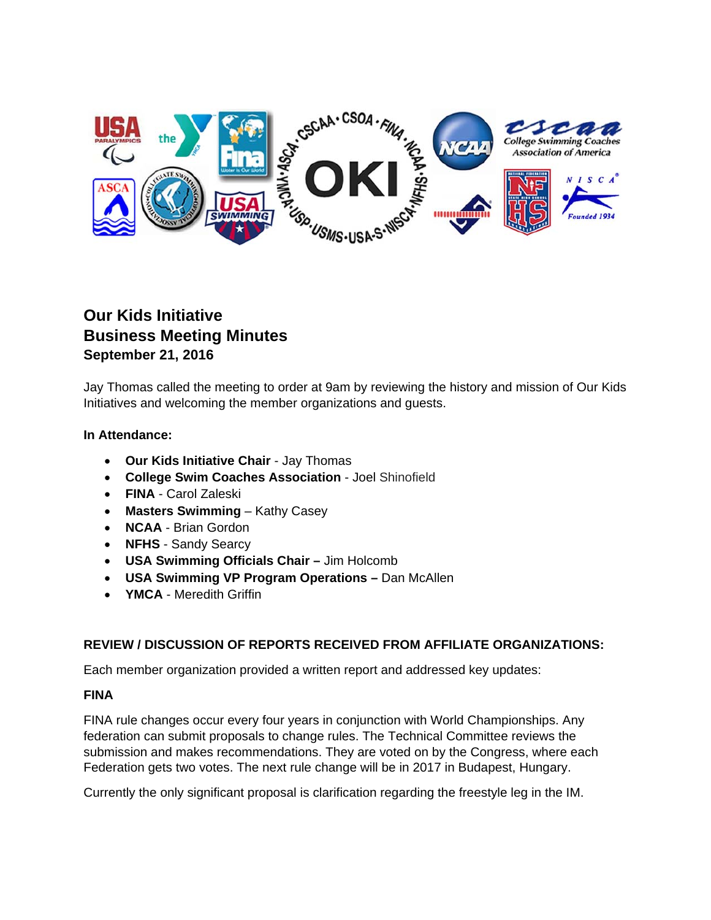

# **Our Kids Initiative Business Meeting Minutes September 21, 2016**

Jay Thomas called the meeting to order at 9am by reviewing the history and mission of Our Kids Initiatives and welcoming the member organizations and guests.

# **In Attendance:**

- **Our Kids Initiative Chair**  Jay Thomas
- **College Swim Coaches Association** Joel Shinofield
- **FINA** Carol Zaleski
- **Masters Swimming** Kathy Casey
- **NCAA**  Brian Gordon
- **NFHS** Sandy Searcy
- **USA Swimming Officials Chair** Jim Holcomb
- **USA Swimming VP Program Operations** Dan McAllen
- **YMCA**  Meredith Griffin

# **REVIEW / DISCUSSION OF REPORTS RECEIVED FROM AFFILIATE ORGANIZATIONS:**

Each member organization provided a written report and addressed key updates:

# **FINA**

FINA rule changes occur every four years in conjunction with World Championships. Any federation can submit proposals to change rules. The Technical Committee reviews the submission and makes recommendations. They are voted on by the Congress, where each Federation gets two votes. The next rule change will be in 2017 in Budapest, Hungary.

Currently the only significant proposal is clarification regarding the freestyle leg in the IM.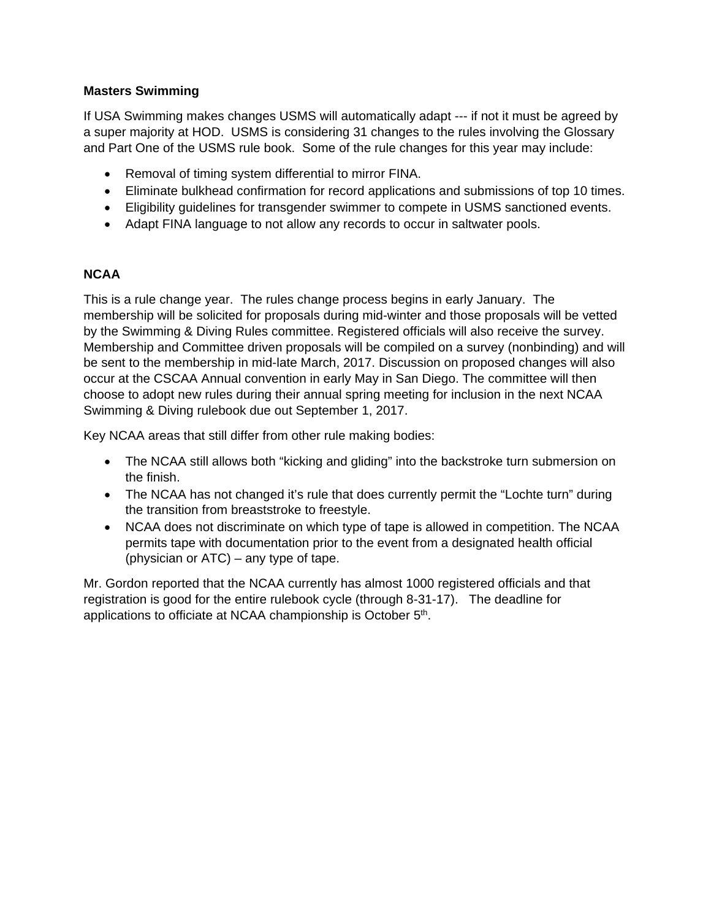# **Masters Swimming**

If USA Swimming makes changes USMS will automatically adapt --- if not it must be agreed by a super majority at HOD. USMS is considering 31 changes to the rules involving the Glossary and Part One of the USMS rule book. Some of the rule changes for this year may include:

- Removal of timing system differential to mirror FINA.
- Eliminate bulkhead confirmation for record applications and submissions of top 10 times.
- Eligibility guidelines for transgender swimmer to compete in USMS sanctioned events.
- Adapt FINA language to not allow any records to occur in saltwater pools.

# **NCAA**

This is a rule change year. The rules change process begins in early January. The membership will be solicited for proposals during mid-winter and those proposals will be vetted by the Swimming & Diving Rules committee. Registered officials will also receive the survey. Membership and Committee driven proposals will be compiled on a survey (nonbinding) and will be sent to the membership in mid-late March, 2017. Discussion on proposed changes will also occur at the CSCAA Annual convention in early May in San Diego. The committee will then choose to adopt new rules during their annual spring meeting for inclusion in the next NCAA Swimming & Diving rulebook due out September 1, 2017.

Key NCAA areas that still differ from other rule making bodies:

- The NCAA still allows both "kicking and gliding" into the backstroke turn submersion on the finish.
- The NCAA has not changed it's rule that does currently permit the "Lochte turn" during the transition from breaststroke to freestyle.
- NCAA does not discriminate on which type of tape is allowed in competition. The NCAA permits tape with documentation prior to the event from a designated health official (physician or ATC) – any type of tape.

Mr. Gordon reported that the NCAA currently has almost 1000 registered officials and that registration is good for the entire rulebook cycle (through 8-31-17). The deadline for applications to officiate at NCAA championship is October 5<sup>th</sup>.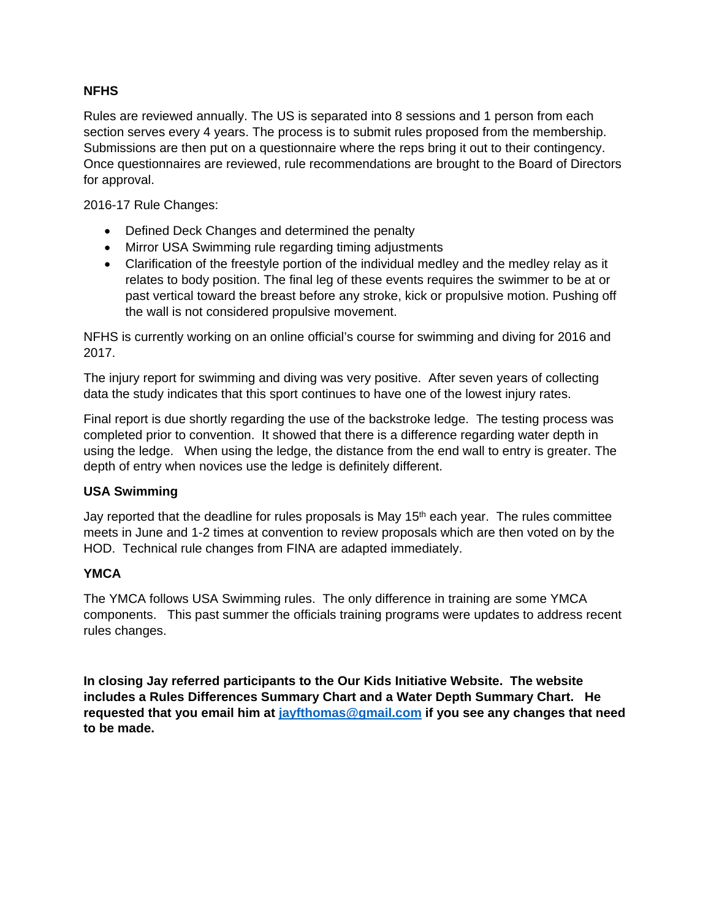# **NFHS**

Rules are reviewed annually. The US is separated into 8 sessions and 1 person from each section serves every 4 years. The process is to submit rules proposed from the membership. Submissions are then put on a questionnaire where the reps bring it out to their contingency. Once questionnaires are reviewed, rule recommendations are brought to the Board of Directors for approval.

2016-17 Rule Changes:

- Defined Deck Changes and determined the penalty
- Mirror USA Swimming rule regarding timing adjustments
- Clarification of the freestyle portion of the individual medley and the medley relay as it relates to body position. The final leg of these events requires the swimmer to be at or past vertical toward the breast before any stroke, kick or propulsive motion. Pushing off the wall is not considered propulsive movement.

NFHS is currently working on an online official's course for swimming and diving for 2016 and 2017.

The injury report for swimming and diving was very positive. After seven years of collecting data the study indicates that this sport continues to have one of the lowest injury rates.

Final report is due shortly regarding the use of the backstroke ledge. The testing process was completed prior to convention. It showed that there is a difference regarding water depth in using the ledge. When using the ledge, the distance from the end wall to entry is greater. The depth of entry when novices use the ledge is definitely different.

# **USA Swimming**

Jay reported that the deadline for rules proposals is May  $15<sup>th</sup>$  each year. The rules committee meets in June and 1-2 times at convention to review proposals which are then voted on by the HOD. Technical rule changes from FINA are adapted immediately.

# **YMCA**

The YMCA follows USA Swimming rules. The only difference in training are some YMCA components. This past summer the officials training programs were updates to address recent rules changes.

**In closing Jay referred participants to the Our Kids Initiative Website. The website includes a Rules Differences Summary Chart and a Water Depth Summary Chart. He requested that you email him at jayfthomas@gmail.com if you see any changes that need to be made.**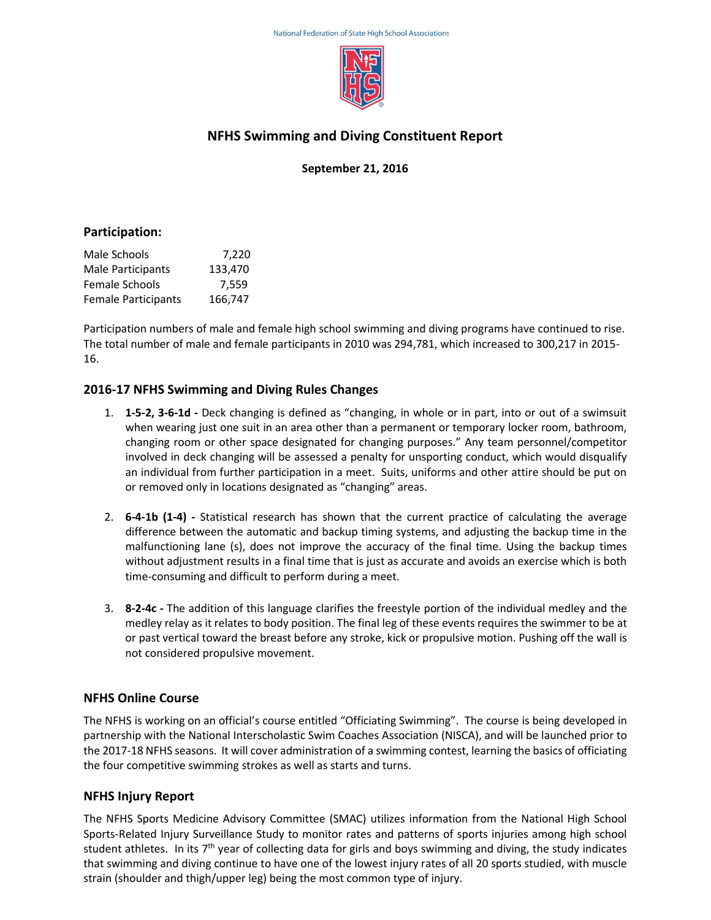

# **NFHS Swimming and Diving Constituent Report**

**September 21, 2016**

### **Participation:**

| Male Schools               | 7,220   |
|----------------------------|---------|
| Male Participants          | 133.470 |
| <b>Female Schools</b>      | 7.559   |
| <b>Female Participants</b> | 166,747 |

Participation numbers of male and female high school swimming and diving programs have continued to rise. The total number of male and female participants in 2010 was 294,781, which increased to 300,217 in 2015- 16.

# **2016-17 NFHS Swimming and Diving Rules Changes**

- 1. **1-5-2, 3-6-1d -** Deck changing is defined as "changing, in whole or in part, into or out of a swimsuit when wearing just one suit in an area other than a permanent or temporary locker room, bathroom, changing room or other space designated for changing purposes." Any team personnel/competitor involved in deck changing will be assessed a penalty for unsporting conduct, which would disqualify an individual from further participation in a meet. Suits, uniforms and other attire should be put on or removed only in locations designated as "changing" areas.
- 2. **6-4-1b (1-4) -** Statistical research has shown that the current practice of calculating the average difference between the automatic and backup timing systems, and adjusting the backup time in the malfunctioning lane (s), does not improve the accuracy of the final time. Using the backup times without adjustment results in a final time that is just as accurate and avoids an exercise which is both time-consuming and difficult to perform during a meet.
- 3. **8-2-4c -** The addition of this language clarifies the freestyle portion of the individual medley and the medley relay as it relates to body position. The final leg of these events requires the swimmer to be at or past vertical toward the breast before any stroke, kick or propulsive motion. Pushing off the wall is not considered propulsive movement.

# **NFHS Online Course**

The NFHS is working on an official's course entitled "Officiating Swimming". The course is being developed in partnership with the National Interscholastic Swim Coaches Association (NISCA), and will be launched prior to the 2017-18 NFHS seasons. It will cover administration of a swimming contest, learning the basics of officiating the four competitive swimming strokes as well as starts and turns.

# **NFHS Injury Report**

The NFHS Sports Medicine Advisory Committee (SMAC) utilizes information from the National High School Sports-Related Injury Surveillance Study to monitor rates and patterns of sports injuries among high school student athletes. In its  $7<sup>th</sup>$  year of collecting data for girls and boys swimming and diving, the study indicates that swimming and diving continue to have one of the lowest injury rates of all 20 sports studied, with muscle strain (shoulder and thigh/upper leg) being the most common type of injury.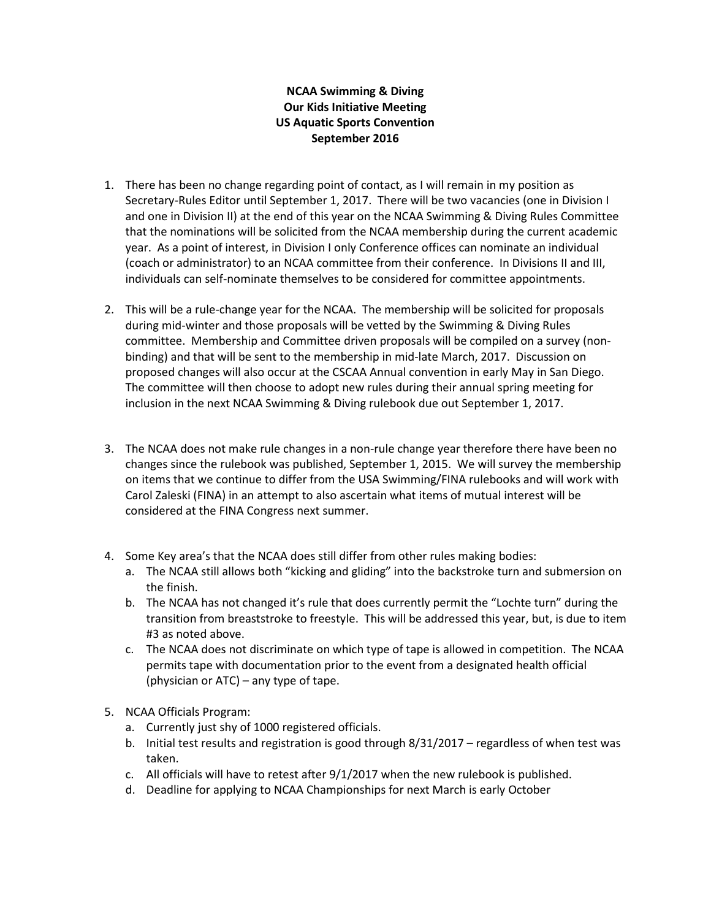# **NCAA Swimming & Diving Our Kids Initiative Meeting US Aquatic Sports Convention September 2016**

- 1. There has been no change regarding point of contact, as I will remain in my position as Secretary-Rules Editor until September 1, 2017. There will be two vacancies (one in Division I and one in Division II) at the end of this year on the NCAA Swimming & Diving Rules Committee that the nominations will be solicited from the NCAA membership during the current academic year. As a point of interest, in Division I only Conference offices can nominate an individual (coach or administrator) to an NCAA committee from their conference. In Divisions II and III, individuals can self-nominate themselves to be considered for committee appointments.
- 2. This will be a rule-change year for the NCAA. The membership will be solicited for proposals during mid-winter and those proposals will be vetted by the Swimming & Diving Rules committee. Membership and Committee driven proposals will be compiled on a survey (nonbinding) and that will be sent to the membership in mid-late March, 2017. Discussion on proposed changes will also occur at the CSCAA Annual convention in early May in San Diego. The committee will then choose to adopt new rules during their annual spring meeting for inclusion in the next NCAA Swimming & Diving rulebook due out September 1, 2017.
- 3. The NCAA does not make rule changes in a non-rule change year therefore there have been no changes since the rulebook was published, September 1, 2015. We will survey the membership on items that we continue to differ from the USA Swimming/FINA rulebooks and will work with Carol Zaleski (FINA) in an attempt to also ascertain what items of mutual interest will be considered at the FINA Congress next summer.
- 4. Some Key area's that the NCAA does still differ from other rules making bodies:
	- a. The NCAA still allows both "kicking and gliding" into the backstroke turn and submersion on the finish.
	- b. The NCAA has not changed it's rule that does currently permit the "Lochte turn" during the transition from breaststroke to freestyle. This will be addressed this year, but, is due to item #3 as noted above.
	- c. The NCAA does not discriminate on which type of tape is allowed in competition. The NCAA permits tape with documentation prior to the event from a designated health official (physician or ATC) – any type of tape.
- 5. NCAA Officials Program:
	- a. Currently just shy of 1000 registered officials.
	- b. Initial test results and registration is good through 8/31/2017 regardless of when test was taken.
	- c. All officials will have to retest after 9/1/2017 when the new rulebook is published.
	- d. Deadline for applying to NCAA Championships for next March is early October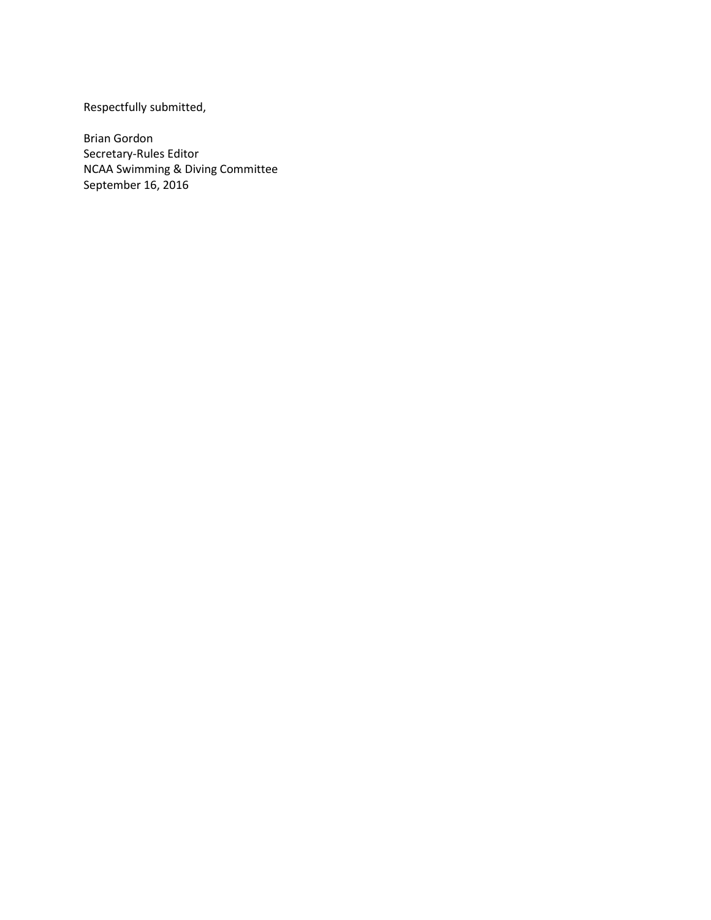Respectfully submitted,

Brian Gordon Secretary-Rules Editor NCAA Swimming & Diving Committee September 16, 2016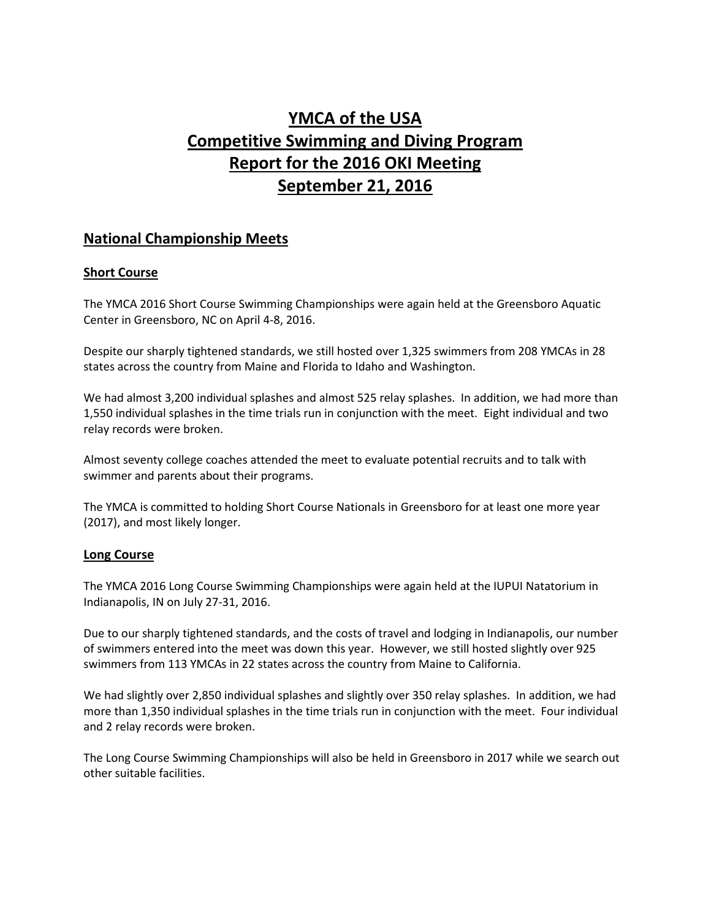# **YMCA of the USA Competitive Swimming and Diving Program Report for the 2016 OKI Meeting September 21, 2016**

# **National Championship Meets**

# **Short Course**

The YMCA 2016 Short Course Swimming Championships were again held at the Greensboro Aquatic Center in Greensboro, NC on April 4-8, 2016.

Despite our sharply tightened standards, we still hosted over 1,325 swimmers from 208 YMCAs in 28 states across the country from Maine and Florida to Idaho and Washington.

We had almost 3,200 individual splashes and almost 525 relay splashes. In addition, we had more than 1,550 individual splashes in the time trials run in conjunction with the meet. Eight individual and two relay records were broken.

Almost seventy college coaches attended the meet to evaluate potential recruits and to talk with swimmer and parents about their programs.

The YMCA is committed to holding Short Course Nationals in Greensboro for at least one more year (2017), and most likely longer.

# **Long Course**

The YMCA 2016 Long Course Swimming Championships were again held at the IUPUI Natatorium in Indianapolis, IN on July 27-31, 2016.

Due to our sharply tightened standards, and the costs of travel and lodging in Indianapolis, our number of swimmers entered into the meet was down this year. However, we still hosted slightly over 925 swimmers from 113 YMCAs in 22 states across the country from Maine to California.

We had slightly over 2,850 individual splashes and slightly over 350 relay splashes. In addition, we had more than 1,350 individual splashes in the time trials run in conjunction with the meet. Four individual and 2 relay records were broken.

The Long Course Swimming Championships will also be held in Greensboro in 2017 while we search out other suitable facilities.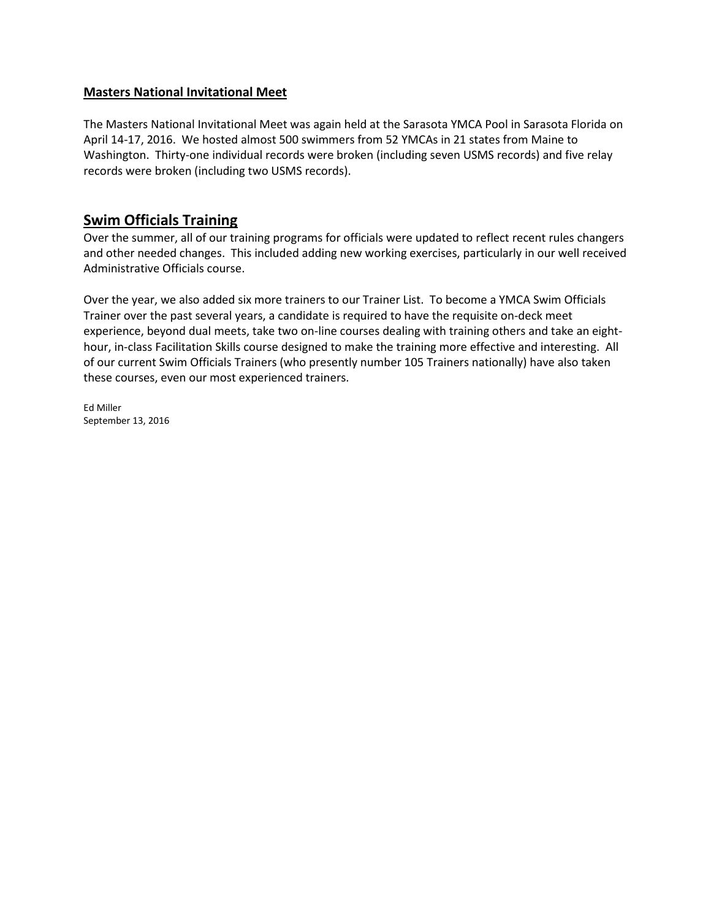### **Masters National Invitational Meet**

The Masters National Invitational Meet was again held at the Sarasota YMCA Pool in Sarasota Florida on April 14-17, 2016. We hosted almost 500 swimmers from 52 YMCAs in 21 states from Maine to Washington. Thirty-one individual records were broken (including seven USMS records) and five relay records were broken (including two USMS records).

# **Swim Officials Training**

Over the summer, all of our training programs for officials were updated to reflect recent rules changers and other needed changes. This included adding new working exercises, particularly in our well received Administrative Officials course.

Over the year, we also added six more trainers to our Trainer List. To become a YMCA Swim Officials Trainer over the past several years, a candidate is required to have the requisite on-deck meet experience, beyond dual meets, take two on-line courses dealing with training others and take an eighthour, in-class Facilitation Skills course designed to make the training more effective and interesting. All of our current Swim Officials Trainers (who presently number 105 Trainers nationally) have also taken these courses, even our most experienced trainers.

Ed Miller September 13, 2016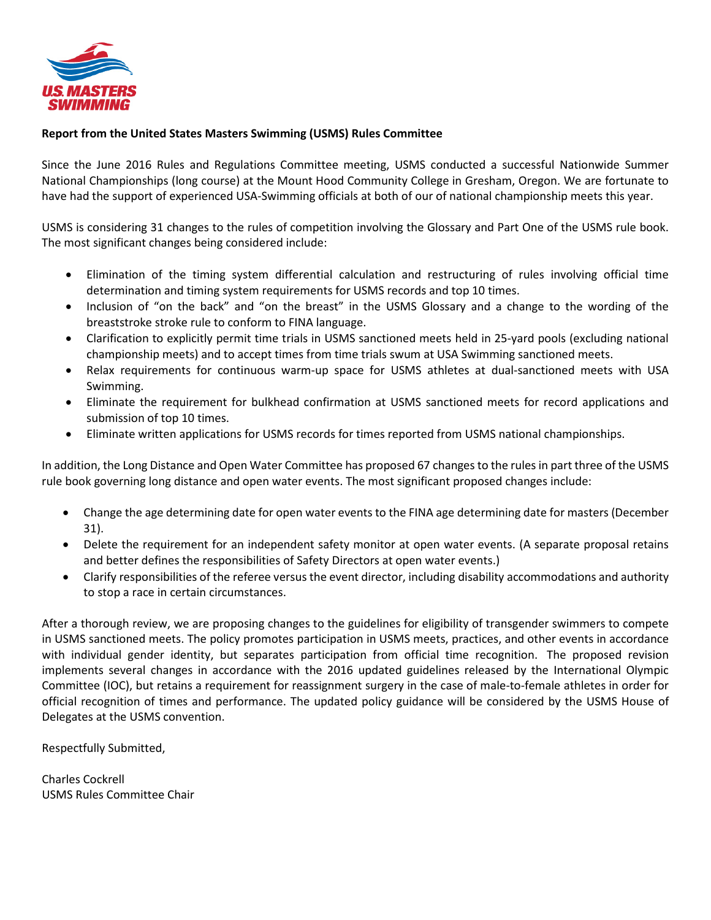

### **Report from the United States Masters Swimming (USMS) Rules Committee**

Since the June 2016 Rules and Regulations Committee meeting, USMS conducted a successful Nationwide Summer National Championships (long course) at the Mount Hood Community College in Gresham, Oregon. We are fortunate to have had the support of experienced USA-Swimming officials at both of our of national championship meets this year.

USMS is considering 31 changes to the rules of competition involving the Glossary and Part One of the USMS rule book. The most significant changes being considered include:

- Elimination of the timing system differential calculation and restructuring of rules involving official time determination and timing system requirements for USMS records and top 10 times.
- Inclusion of "on the back" and "on the breast" in the USMS Glossary and a change to the wording of the breaststroke stroke rule to conform to FINA language.
- Clarification to explicitly permit time trials in USMS sanctioned meets held in 25-yard pools (excluding national championship meets) and to accept times from time trials swum at USA Swimming sanctioned meets.
- Relax requirements for continuous warm-up space for USMS athletes at dual-sanctioned meets with USA Swimming.
- Eliminate the requirement for bulkhead confirmation at USMS sanctioned meets for record applications and submission of top 10 times.
- Eliminate written applications for USMS records for times reported from USMS national championships.

In addition, the Long Distance and Open Water Committee has proposed 67 changes to the rules in part three of the USMS rule book governing long distance and open water events. The most significant proposed changes include:

- Change the age determining date for open water events to the FINA age determining date for masters (December 31).
- Delete the requirement for an independent safety monitor at open water events. (A separate proposal retains and better defines the responsibilities of Safety Directors at open water events.)
- Clarify responsibilities of the referee versus the event director, including disability accommodations and authority to stop a race in certain circumstances.

After a thorough review, we are proposing changes to the guidelines for eligibility of transgender swimmers to compete in USMS sanctioned meets. The policy promotes participation in USMS meets, practices, and other events in accordance with individual gender identity, but separates participation from official time recognition. The proposed revision implements several changes in accordance with the 2016 updated guidelines released by the International Olympic Committee (IOC), but retains a requirement for reassignment surgery in the case of male-to-female athletes in order for official recognition of times and performance. The updated policy guidance will be considered by the USMS House of Delegates at the USMS convention.

Respectfully Submitted,

Charles Cockrell USMS Rules Committee Chair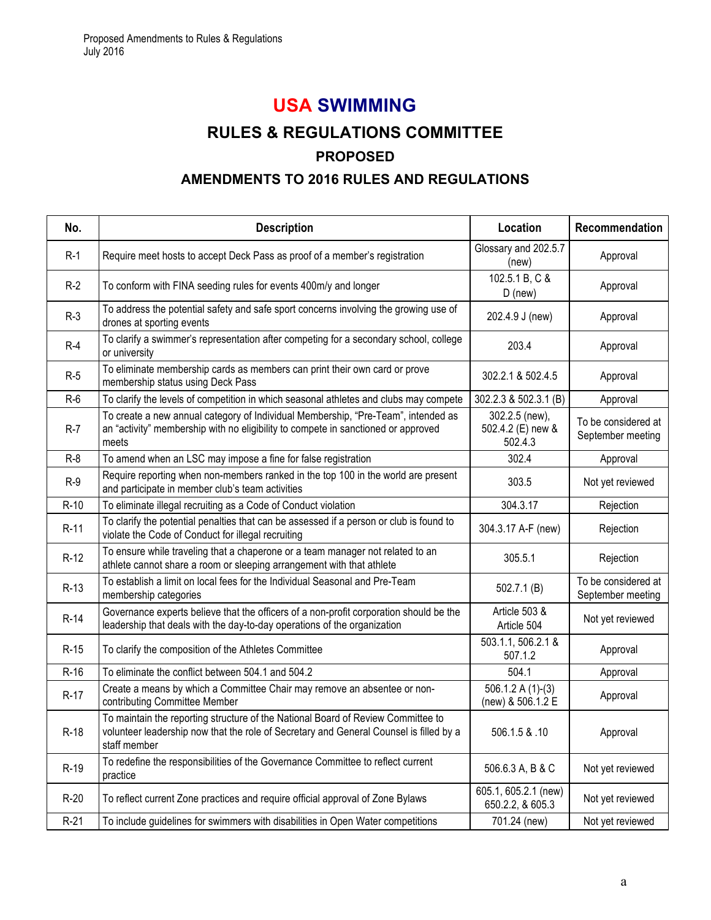# **USA SWIMMING**

# **RULES & REGULATIONS COMMITTEE PROPOSED**

# **AMENDMENTS TO 2016 RULES AND REGULATIONS**

| No.    | <b>Description</b>                                                                                                                                                                         | Location                                       | Recommendation                           |
|--------|--------------------------------------------------------------------------------------------------------------------------------------------------------------------------------------------|------------------------------------------------|------------------------------------------|
| $R-1$  | Require meet hosts to accept Deck Pass as proof of a member's registration                                                                                                                 | Glossary and 202.5.7<br>(new)                  | Approval                                 |
| $R-2$  | To conform with FINA seeding rules for events 400m/y and longer                                                                                                                            | 102.5.1 B, C &<br>$D$ (new)                    | Approval                                 |
| $R-3$  | To address the potential safety and safe sport concerns involving the growing use of<br>drones at sporting events                                                                          | 202.4.9 J (new)                                | Approval                                 |
| $R-4$  | To clarify a swimmer's representation after competing for a secondary school, college<br>or university                                                                                     | 203.4                                          | Approval                                 |
| $R-5$  | To eliminate membership cards as members can print their own card or prove<br>membership status using Deck Pass                                                                            | 302.2.1 & 502.4.5                              | Approval                                 |
| $R-6$  | To clarify the levels of competition in which seasonal athletes and clubs may compete                                                                                                      | 302.2.3 & 502.3.1 (B)                          | Approval                                 |
| $R-7$  | To create a new annual category of Individual Membership, "Pre-Team", intended as<br>an "activity" membership with no eligibility to compete in sanctioned or approved<br>meets            | 302.2.5 (new),<br>502.4.2 (E) new &<br>502.4.3 | To be considered at<br>September meeting |
| $R-8$  | To amend when an LSC may impose a fine for false registration                                                                                                                              | 302.4                                          | Approval                                 |
| $R-9$  | Require reporting when non-members ranked in the top 100 in the world are present<br>and participate in member club's team activities                                                      | 303.5                                          | Not yet reviewed                         |
| $R-10$ | To eliminate illegal recruiting as a Code of Conduct violation                                                                                                                             | 304.3.17                                       | Rejection                                |
| $R-11$ | To clarify the potential penalties that can be assessed if a person or club is found to<br>violate the Code of Conduct for illegal recruiting                                              | 304.3.17 A-F (new)                             | Rejection                                |
| $R-12$ | To ensure while traveling that a chaperone or a team manager not related to an<br>athlete cannot share a room or sleeping arrangement with that athlete                                    | 305.5.1                                        | Rejection                                |
| $R-13$ | To establish a limit on local fees for the Individual Seasonal and Pre-Team<br>membership categories                                                                                       | 502.7.1(B)                                     | To be considered at<br>September meeting |
| R-14   | Governance experts believe that the officers of a non-profit corporation should be the<br>leadership that deals with the day-to-day operations of the organization                         | Article 503 &<br>Article 504                   | Not yet reviewed                         |
| $R-15$ | To clarify the composition of the Athletes Committee                                                                                                                                       | 503.1.1, 506.2.1 &<br>507.1.2                  | Approval                                 |
| $R-16$ | To eliminate the conflict between 504.1 and 504.2                                                                                                                                          | 504.1                                          | Approval                                 |
| $R-17$ | Create a means by which a Committee Chair may remove an absentee or non-<br>contributing Committee Member                                                                                  | 506.1.2 A $(1)-(3)$<br>(new) & 506.1.2 E       | Approval                                 |
| $R-18$ | To maintain the reporting structure of the National Board of Review Committee to<br>volunteer leadership now that the role of Secretary and General Counsel is filled by a<br>staff member | 506.1.5 & .10                                  | Approval                                 |
| R-19   | To redefine the responsibilities of the Governance Committee to reflect current<br>practice                                                                                                | 506.6.3 A, B & C                               | Not yet reviewed                         |
| $R-20$ | To reflect current Zone practices and require official approval of Zone Bylaws                                                                                                             | 605.1, 605.2.1 (new)<br>650.2.2, & 605.3       | Not yet reviewed                         |
| $R-21$ | To include guidelines for swimmers with disabilities in Open Water competitions                                                                                                            | 701.24 (new)                                   | Not yet reviewed                         |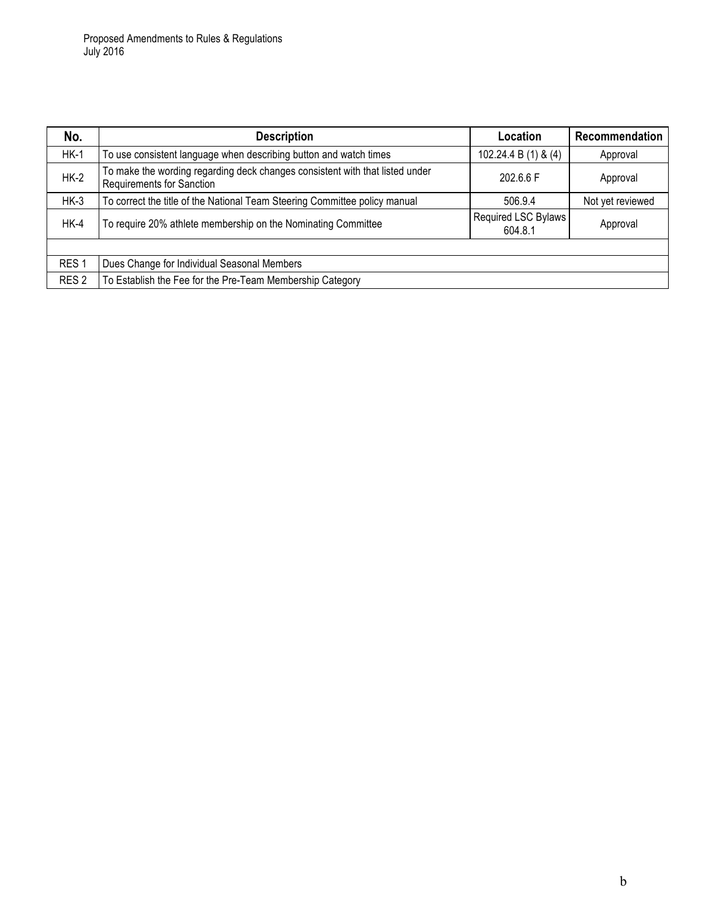| No.              | <b>Description</b>                                                                                               | Location                       | Recommendation   |
|------------------|------------------------------------------------------------------------------------------------------------------|--------------------------------|------------------|
| $HK-1$           | To use consistent language when describing button and watch times                                                | 102.24.4 B (1) & (4)           | Approval         |
| $HK-2$           | To make the wording regarding deck changes consistent with that listed under<br><b>Requirements for Sanction</b> | 202.6.6 F                      | Approval         |
| $HK-3$           | To correct the title of the National Team Steering Committee policy manual                                       | 506.9.4                        | Not yet reviewed |
| $HK-4$           | To require 20% athlete membership on the Nominating Committee                                                    | Required LSC Bylaws<br>604.8.1 | Approval         |
|                  |                                                                                                                  |                                |                  |
| RES <sub>1</sub> | Dues Change for Individual Seasonal Members                                                                      |                                |                  |
| RES <sub>2</sub> | To Establish the Fee for the Pre-Team Membership Category                                                        |                                |                  |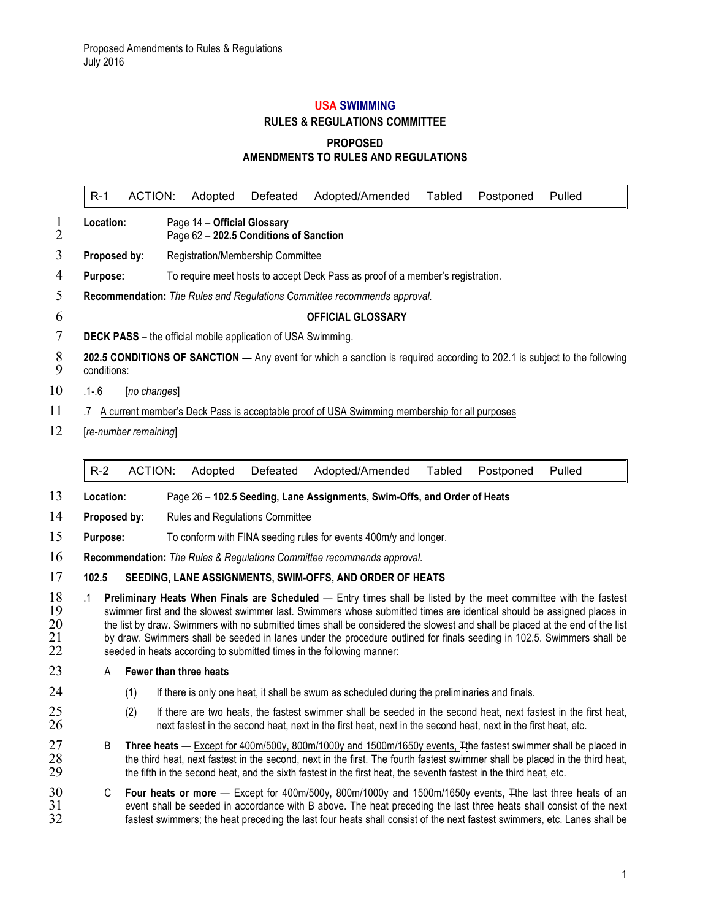# **USA SWIMMING RULES & REGULATIONS COMMITTEE PROPOSED AMENDMENTS TO RULES AND REGULATIONS**

R-1 ACTION: Adopted Defeated Adopted/Amended Tabled Postponed Pulled **Location:** Page 14 – **Official Glossary** Page 62 – **202.5 Conditions of Sanction Proposed by:** Registration/Membership Committee **Purpose:** To require meet hosts to accept Deck Pass as proof of a member's registration. **Recommendation:** *The Rules and Regulations Committee recommends approval.* **OFFICIAL GLOSSARY DECK PASS** – the official mobile application of USA Swimming. **202.5 CONDITIONS OF SANCTION —** Any event for which a sanction is required according to 202.1 is subject to the following conditions: .1-.6 [*no changes*] 11 .7 A current member's Deck Pass is acceptable proof of USA Swimming membership for all purposes [*re-number remaining*] R-2 ACTION: Adopted Defeated Adopted/Amended Tabled Postponed Pulled

- 13 **Location:** Page 26 **102.5 Seeding, Lane Assignments, Swim-Offs, and Order of Heats**
- 14 **Proposed by:** Rules and Regulations Committee
- 15 **Purpose:** To conform with FINA seeding rules for events 400m/y and longer.
- 16 **Recommendation:** *The Rules & Regulations Committee recommends approval.*

#### 17 **102.5 SEEDING, LANE ASSIGNMENTS, SWIM-OFFS, AND ORDER OF HEATS**

18 .1 **Preliminary Heats When Finals are Scheduled** — Entry times shall be listed by the meet committee with the fastest 19 swimmer first and the slowest swimmer last. Swimmers whose submitted times are identical should be assigned places in<br>20 the list by draw. Swimmers with no submitted times shall be considered the slowest and shall be pl 20 the list by draw. Swimmers with no submitted times shall be considered the slowest and shall be placed at the end of the list 21 by draw. Swimmers shall be seeded in lanes under the procedure outlined for finals seeding in 102.5. Swimmers shall be <br>22 seeded in heats according to submitted times in the following manner: seeded in heats according to submitted times in the following manner:

#### 23 A **Fewer than three heats**

- 24 (1) If there is only one heat, it shall be swum as scheduled during the preliminaries and finals.
- $25$  (2) If there are two heats, the fastest swimmer shall be seeded in the second heat, next fastest in the first heat,  $26$  next fastest in the second heat, next in the first heat, etc. next fastest in the second heat, next in the first heat, next in the second heat, next in the first heat, etc.
- 27 B **Three heats** Except for 400m/500y, 800m/1000y and 1500m/1650y events, The fastest swimmer shall be placed in<br>28 the third heat, next fastest in the second, next in the first. The fourth fastest swimmer shall be pla 28 the third heat, next fastest in the second, next in the first. The fourth fastest swimmer shall be placed in the third heat, 29 the fifth in the second heat, and the sixth fastest in the first heat, the seventh fastest the fifth in the second heat, and the sixth fastest in the first heat, the seventh fastest in the third heat, etc.
- 30 C **Four heats or more** Except for 400m/500y, 800m/1000y and 1500m/1650y events, The last three heats of an<br>31 event shall be seeded in accordance with B above. The heat preceding the last three heats shall consist of 31 event shall be seeded in accordance with B above. The heat preceding the last three heats shall consist of the next<br>32 fastest swimmers: the heat preceding the last four heats shall consist of the next fastest swimmers, fastest swimmers; the heat preceding the last four heats shall consist of the next fastest swimmers, etc. Lanes shall be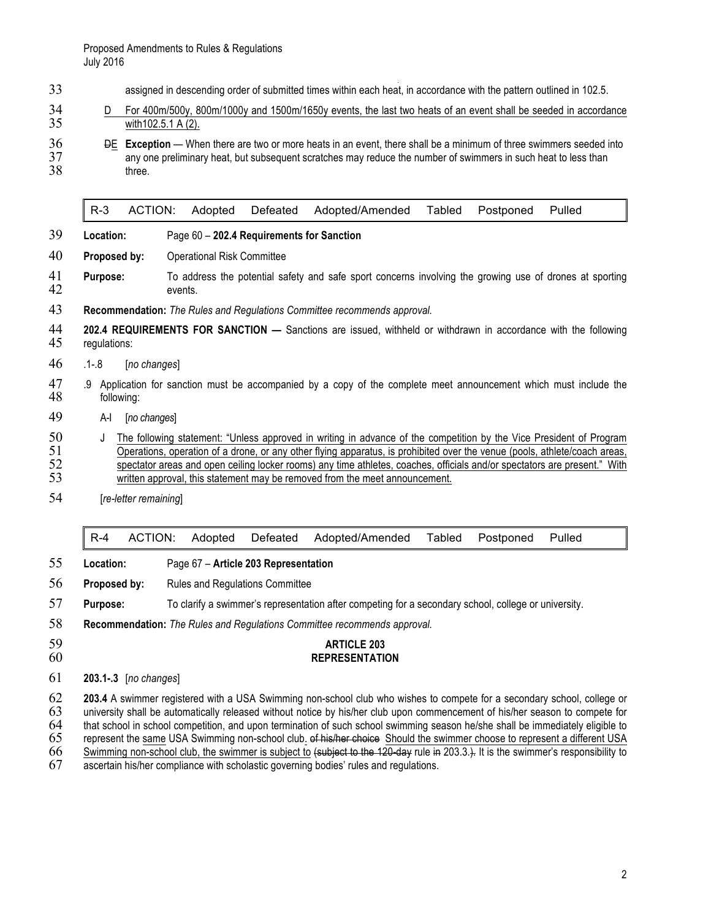- 33 assigned in descending order of submitted times within each heat, in accordance with the pattern outlined in 102.5.
- 34 D For 400m/500y, 800m/1000y and 1500m/1650y events, the last two heats of an event shall be seeded in accordance<br>35 with 102.5.1 A (2). with102.5.1 A (2).
- **36** DE **Exception** When there are two or more heats in an event, there shall be a minimum of three swimmers seeded into <br>37 any one preliminary heat, but subsequent scratches may reduce the number of swimmers in such he 37 any one preliminary heat, but subsequent scratches may reduce the number of swimmers in such heat to less than<br>38 three. three.

R-3 ACTION: Adopted Defeated Adopted/Amended Tabled Postponed Pulled

- 39 **Location:** Page 60 **202.4 Requirements for Sanction**
- 40 **Proposed by:** Operational Risk Committee
- 41 **Purpose:** To address the potential safety and safe sport concerns involving the growing use of drones at sporting 42 events.
- 43 **Recommendation:** *The Rules and Regulations Committee recommends approval.*
- 44 **202.4 REQUIREMENTS FOR SANCTION —** Sanctions are issued, withheld or withdrawn in accordance with the following 45 regulations:
- 46 .1-.8 [*no changes*]
- 47 .9 Application for sanction must be accompanied by a copy of the complete meet announcement which must include the 48 following: following:
- 49 A-I [*no changes*]
- 50 J The following statement: "Unless approved in writing in advance of the competition by the Vice President of Program 51 Operations, operation of a drone, or any other flying apparatus, is prohibited over the venue (pools, athlete/coach areas, 52 spectator areas and open ceiling locker rooms) any time athletes, coaches, officials and/or s 52 spectator areas and open ceiling locker rooms) any time athletes, coaches, officials and/or spectators are present." With written approval, this statement may be removed from the meet announcement. written approval, this statement may be removed from the meet announcement.
- 54 [*re-letter remaining*]

|  |  |  |  | R-4 ACTION: Adopted Defeated Adopted/Amended Tabled Postponed Pulled |  |  |  |  |
|--|--|--|--|----------------------------------------------------------------------|--|--|--|--|
|--|--|--|--|----------------------------------------------------------------------|--|--|--|--|

- 55 **Location:** Page 67 **Article 203 Representation**
- 56 **Proposed by:** Rules and Regulations Committee
- 57 **Purpose:** To clarify a swimmer's representation after competing for a secondary school, college or university.

58 **Recommendation:** *The Rules and Regulations Committee recommends approval.*

#### 59 **ARTICLE 203** 60 **REPRESENTATION**

#### 61 **203.1-.3** [*no changes*]

62 **203.4** A swimmer registered with a USA Swimming non-school club who wishes to compete for a secondary school, college or university shall be automatically released without notice by his/her club upon commencement of his/her season to compete for 64 that school in school competition, and upon termination of such school swimming season he/she shall be immediately eligible to<br>65 represent the same USA Swimming non-school club, of his/her choice Should the swimmer cho represent the same USA Swimming non-school club. of his/her choice Should the swimmer choose to represent a different USA

66 Swimming non-school club, the swimmer is subject to  $\frac{1}{20}$  subject to the 120-day rule in 203.3.). It is the swimmer's responsibility to

67 ascertain his/her compliance with scholastic governing bodies' rules and regulations.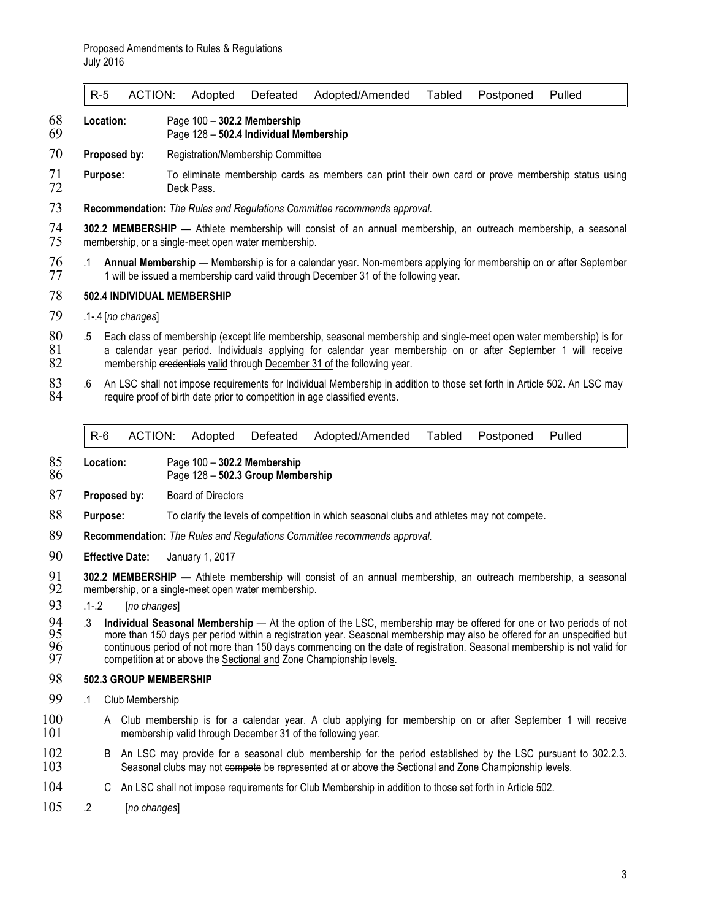R-5 ACTION: Adopted Defeated Adopted/Amended Tabled Postponed Pulled

- 68 **Location:** Page 100 **302.2 Membership**
	- 69 Page 128 **502.4 Individual Membership**
- 70 **Proposed by:** Registration/Membership Committee
- 71 **Purpose:** To eliminate membership cards as members can print their own card or prove membership status using<br>72 **Purpose:** Deck Pass. Deck Pass.
- 73 **Recommendation:** *The Rules and Regulations Committee recommends approval.*

74 **302.2 MEMBERSHIP —** Athlete membership will consist of an annual membership, an outreach membership, a seasonal membership, or a single-meet open water membership.

76 .1 **Annual Membership** — Membership is for a calendar year. Non-members applying for membership on or after September 1 will be issued a membership eard valid through December 31 of the following year.

#### 78 **502.4 INDIVIDUAL MEMBERSHIP**

- 79 .1-.4 [*no changes*]
- 80 .5 Each class of membership (except life membership, seasonal membership and single-meet open water membership) is for 81 a calendar year period. Individuals applying for calendar year membership on or after September 1 will receive<br>82 membership eredentials valid through December 31 of the following year. membership credentials valid through December 31 of the following year.
- 83 .6 An LSC shall not impose requirements for Individual Membership in addition to those set forth in Article 502. An LSC may <br>84 require proof of birth date prior to competition in age classified events. require proof of birth date prior to competition in age classified events.

R-6 ACTION: Adopted Defeated Adopted/Amended Tabled Postponed Pulled

- 85 **Location:** Page 100 **302.2 Membership**
- 86 Page 128 **502.3 Group Membership**
- 87 **Proposed by:** Board of Directors
- 88 **Purpose:** To clarify the levels of competition in which seasonal clubs and athletes may not compete.
- 89 **Recommendation:** *The Rules and Regulations Committee recommends approval.*
- 90 **Effective Date:** January 1, 2017
- 91 **302.2 MEMBERSHIP** Athlete membership will consist of an annual membership, an outreach membership, a seasonal<br>92 membership, or a single-meet open water membership. membership, or a single-meet open water membership.
- 93 .1-.2 [*no changes*]
- 94 .3 **Individual Seasonal Membership**  At the option of the LSC, membership may be offered for one or two periods of not 95 more than 150 days per period within a registration year. Seasonal membership may also be offered for an unspecified but<br>96 continuous period of not more than 150 days commencing on the date of registration. Seasonal me continuous period of not more than 150 days commencing on the date of registration. Seasonal membership is not valid for competition at or above the Sectional and Zone Championship levels.

#### 98 **502.3 GROUP MEMBERSHIP**

- 99 .1 Club Membership
- 100 A Club membership is for a calendar year. A club applying for membership on or after September 1 will receive 101 membership valid through December 31 of the following year.
- 102 B An LSC may provide for a seasonal club membership for the period established by the LSC pursuant to 302.2.3. 103 Seasonal clubs may not compete be represented at or above the Sectional and Zone Championship levels.
- 104 C An LSC shall not impose requirements for Club Membership in addition to those set forth in Article 502.
- 105 .2 [*no changes*]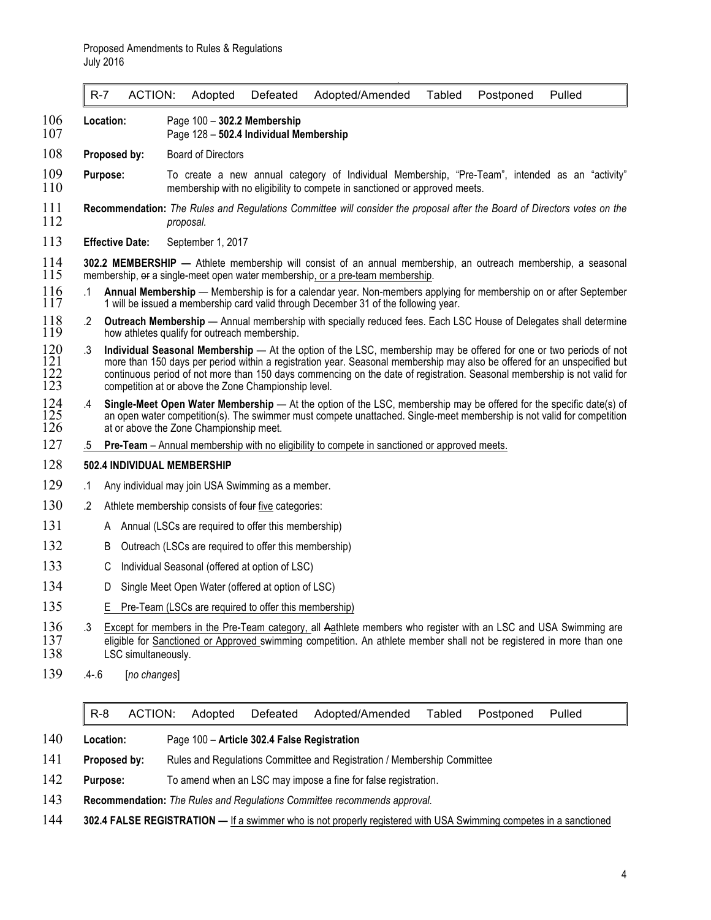|  |  |  |  | R-7 ACTION: Adopted Defeated Adopted/Amended Tabled Postponed Pulled |  |  |  |  |
|--|--|--|--|----------------------------------------------------------------------|--|--|--|--|
|--|--|--|--|----------------------------------------------------------------------|--|--|--|--|

- 106 **Location:** Page 100 **302.2 Membership**
	- Page 128 502.4 Individual Membership
- 108 **Proposed by:** Board of Directors
- 109 **Purpose:** To create a new annual category of Individual Membership, "Pre-Team", intended as an "activity"<br>110 **Purpose:** membership with no-eligibility to compete in sanctioned or approved meets. membership with no eligibility to compete in sanctioned or approved meets.
- 111 **Recommendation:** *The Rules and Regulations Committee will consider the proposal after the Board of Directors votes on the*  112 *proposal.*
- 113 **Effective Date:** September 1, 2017
- 114 **302.2 MEMBERSHIP —** Athlete membership will consist of an annual membership, an outreach membership, a seasonal membership, or a single-meet open water membership, or a pre-team membership.
- 116 .1 **Annual Membership** Membership is for a calendar year. Non-members applying for membership on or after September<br>117 1 will be issued a membership card valid through December 31 of the following year. 1 will be issued a membership card valid through December 31 of the following year.
- 118 .2 **Outreach Membership** Annual membership with specially reduced fees. Each LSC House of Delegates shall determine<br>119 how athletes qualify for outreach membership. how athletes qualify for outreach membership.
- 120 .3 **Individual Seasonal Membership** At the option of the LSC, membership may be offered for one or two periods of not more than 150 days per period within a registration year. Seasonal membership may also be offered 121 more than 150 days per period within a registration year. Seasonal membership may also be offered for an unspecified but continuous period of not more than 150 days commencing on the date of registration. Seasonal membership is not valid for competition at or above the Zone Championship level.
- 124 .4 **Single-Meet Open Water Membership**  At the option of the LSC, membership may be offered for the specific date(s) of 125 an open water competition(s). The swimmer must compete unattached. Single-meet membership is not valid for competition 126 at or above the Zone Championship meet. at or above the Zone Championship meet.
- 127 .5 **Pre-Team** Annual membership with no eligibility to compete in sanctioned or approved meets.

#### 128 **502.4 INDIVIDUAL MEMBERSHIP**

- 129 .1 Any individual may join USA Swimming as a member.
- 130 .2 Athlete membership consists of four five categories:
- 131 A Annual (LSCs are required to offer this membership)
- 132 B Outreach (LSCs are required to offer this membership)
- 133 C Individual Seasonal (offered at option of LSC)
- 134 D Single Meet Open Water (offered at option of LSC)
- 135 E Pre-Team (LSCs are required to offer this membership)
- 136 .3 Except for members in the Pre-Team category, all Aathlete members who register with an LSC and USA Swimming are<br>137 eligible for Sanctioned or Approved swimming competition. An athlete member shall not be registered 137 eligible for Sanctioned or Approved swimming competition. An athlete member shall not be registered in more than one<br>138 LSC simultaneously. LSC simultaneously.
- 139 .4-.6 [*no changes*]

|  |  | R-8 ACTION: Adopted Defeated Adopted/Amended Tabled Postponed Pulled |  |  |
|--|--|----------------------------------------------------------------------|--|--|
|  |  |                                                                      |  |  |

- 140 **Location:** Page 100 **Article 302.4 False Registration**
- 141 **Proposed by:** Rules and Regulations Committee and Registration / Membership Committee
- 142 **Purpose:** To amend when an LSC may impose a fine for false registration.
- 143 **Recommendation:** *The Rules and Regulations Committee recommends approval.*
- 144 **302.4 FALSE REGISTRATION —** If a swimmer who is not properly registered with USA Swimming competes in a sanctioned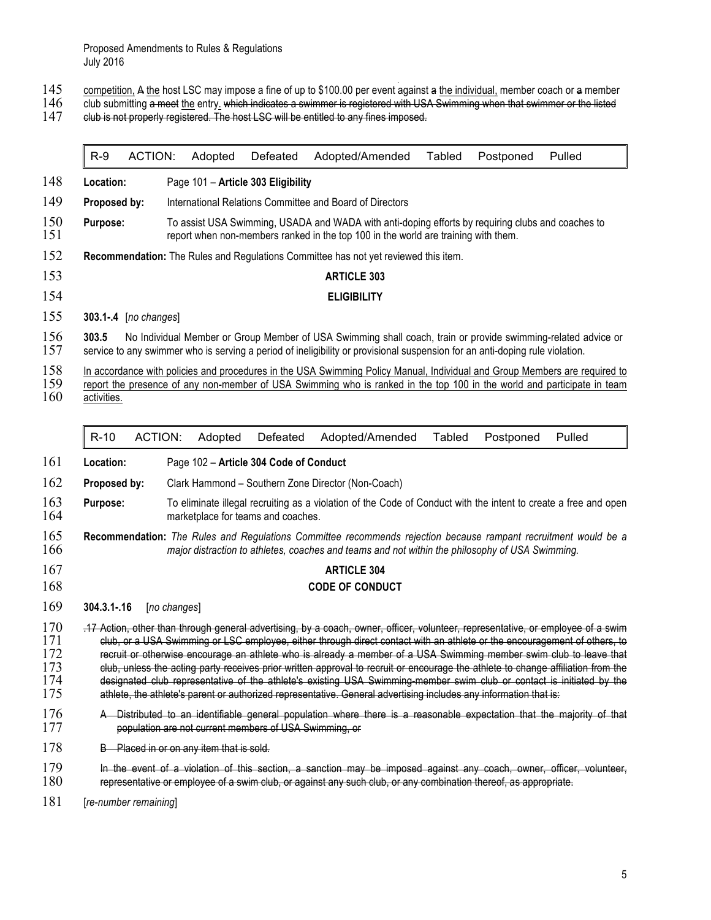Proposed Amendments to Rules & Regulations July 2016

- 145 competition, A the host LSC may impose a fine of up to \$100.00 per event against a the individual, member coach or a member
- 146 club submitting a meet the entry. which indicates a swimmer is registered with USA Swimming when that swimmer or the listed
- 147 club is not properly registered. The host LSC will be entitled to any fines imposed.

| $R-9$                 |                |                                          |                                                        |                                                                                                                                                                                                                                                                                                                                                                                                                                                                                                                                                                                                                                                                                                                                                                       |               |           |        |
|-----------------------|----------------|------------------------------------------|--------------------------------------------------------|-----------------------------------------------------------------------------------------------------------------------------------------------------------------------------------------------------------------------------------------------------------------------------------------------------------------------------------------------------------------------------------------------------------------------------------------------------------------------------------------------------------------------------------------------------------------------------------------------------------------------------------------------------------------------------------------------------------------------------------------------------------------------|---------------|-----------|--------|
|                       | <b>ACTION:</b> | Adopted                                  | Defeated                                               | Adopted/Amended                                                                                                                                                                                                                                                                                                                                                                                                                                                                                                                                                                                                                                                                                                                                                       | <b>Tabled</b> | Postponed | Pulled |
| Location:             |                |                                          | Page 101 - Article 303 Eligibility                     |                                                                                                                                                                                                                                                                                                                                                                                                                                                                                                                                                                                                                                                                                                                                                                       |               |           |        |
| Proposed by:          |                |                                          |                                                        | International Relations Committee and Board of Directors                                                                                                                                                                                                                                                                                                                                                                                                                                                                                                                                                                                                                                                                                                              |               |           |        |
| Purpose:              |                |                                          |                                                        | To assist USA Swimming, USADA and WADA with anti-doping efforts by requiring clubs and coaches to<br>report when non-members ranked in the top 100 in the world are training with them.                                                                                                                                                                                                                                                                                                                                                                                                                                                                                                                                                                               |               |           |        |
|                       |                |                                          |                                                        | Recommendation: The Rules and Regulations Committee has not yet reviewed this item.                                                                                                                                                                                                                                                                                                                                                                                                                                                                                                                                                                                                                                                                                   |               |           |        |
|                       |                |                                          |                                                        | <b>ARTICLE 303</b>                                                                                                                                                                                                                                                                                                                                                                                                                                                                                                                                                                                                                                                                                                                                                    |               |           |        |
|                       |                |                                          |                                                        | <b>ELIGIBILITY</b>                                                                                                                                                                                                                                                                                                                                                                                                                                                                                                                                                                                                                                                                                                                                                    |               |           |        |
| 303.1-.4 [no changes] |                |                                          |                                                        |                                                                                                                                                                                                                                                                                                                                                                                                                                                                                                                                                                                                                                                                                                                                                                       |               |           |        |
| 303.5                 |                |                                          |                                                        | No Individual Member or Group Member of USA Swimming shall coach, train or provide swimming-related advice or<br>service to any swimmer who is serving a period of ineligibility or provisional suspension for an anti-doping rule violation.                                                                                                                                                                                                                                                                                                                                                                                                                                                                                                                         |               |           |        |
| activities.           |                |                                          |                                                        | In accordance with policies and procedures in the USA Swimming Policy Manual, Individual and Group Members are required to<br>report the presence of any non-member of USA Swimming who is ranked in the top 100 in the world and participate in team                                                                                                                                                                                                                                                                                                                                                                                                                                                                                                                 |               |           |        |
| $R-10$                | <b>ACTION:</b> | Adopted                                  | Defeated                                               | Adopted/Amended                                                                                                                                                                                                                                                                                                                                                                                                                                                                                                                                                                                                                                                                                                                                                       | Tabled        | Postponed | Pulled |
| Location:             |                |                                          | Page 102 - Article 304 Code of Conduct                 |                                                                                                                                                                                                                                                                                                                                                                                                                                                                                                                                                                                                                                                                                                                                                                       |               |           |        |
| Proposed by:          |                |                                          |                                                        | Clark Hammond - Southern Zone Director (Non-Coach)                                                                                                                                                                                                                                                                                                                                                                                                                                                                                                                                                                                                                                                                                                                    |               |           |        |
| Purpose:              |                |                                          | marketplace for teams and coaches.                     | To eliminate illegal recruiting as a violation of the Code of Conduct with the intent to create a free and open                                                                                                                                                                                                                                                                                                                                                                                                                                                                                                                                                                                                                                                       |               |           |        |
|                       |                |                                          |                                                        | Recommendation: The Rules and Regulations Committee recommends rejection because rampant recruitment would be a<br>major distraction to athletes, coaches and teams and not within the philosophy of USA Swimming.                                                                                                                                                                                                                                                                                                                                                                                                                                                                                                                                                    |               |           |        |
|                       |                |                                          |                                                        | <b>ARTICLE 304</b>                                                                                                                                                                                                                                                                                                                                                                                                                                                                                                                                                                                                                                                                                                                                                    |               |           |        |
|                       |                |                                          |                                                        |                                                                                                                                                                                                                                                                                                                                                                                                                                                                                                                                                                                                                                                                                                                                                                       |               |           |        |
|                       |                |                                          |                                                        | <b>CODE OF CONDUCT</b>                                                                                                                                                                                                                                                                                                                                                                                                                                                                                                                                                                                                                                                                                                                                                |               |           |        |
|                       | [no changes]   |                                          |                                                        |                                                                                                                                                                                                                                                                                                                                                                                                                                                                                                                                                                                                                                                                                                                                                                       |               |           |        |
| 304.3.1-.16           |                |                                          |                                                        | .17 Action, other than through general advertising, by a coach, owner, officer, volunteer, representative, or employee of a swim<br>club, or a USA Swimming or LSC employee, either through direct contact with an athlete or the encouragement of others, to<br>recruit or otherwise encourage an athlete who is already a member of a USA Swimming member swim club to leave that<br>club, unless the acting party receives prior written approval to recruit or encourage the athlete to change affiliation from the<br>designated club representative of the athlete's existing USA Swimming-member swim club or contact is initiated by the<br>athlete, the athlete's parent or authorized representative. General advertising includes any information that is: |               |           |        |
|                       |                |                                          | population are not current members of USA Swimming, or | A Distributed to an identifiable general population where there is a reasonable expectation that the majority of that                                                                                                                                                                                                                                                                                                                                                                                                                                                                                                                                                                                                                                                 |               |           |        |
|                       |                | B Placed in or on any item that is sold. |                                                        |                                                                                                                                                                                                                                                                                                                                                                                                                                                                                                                                                                                                                                                                                                                                                                       |               |           |        |
|                       |                |                                          |                                                        | In the event of a violation of this section, a sanction may be imposed against any coach, owner, officer, volunteer,<br>representative or employee of a swim club, or against any such club, or any combination thereof, as appropriate.                                                                                                                                                                                                                                                                                                                                                                                                                                                                                                                              |               |           |        |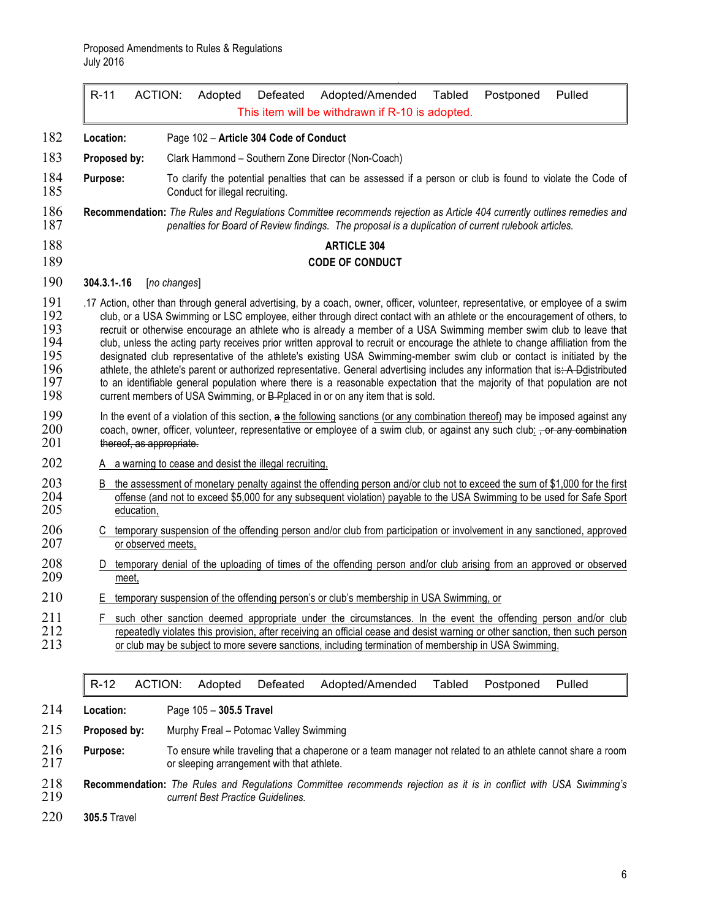| $R-11$                   | ACTION:<br>Adopted<br>Defeated                                                                                                                                                                                                                                                                                                                                                                                                                                                                                                                                                                                                                                                                                                                                                                                                                                                                                                                                                                      | Adopted/Amended<br>Tabled<br>This item will be withdrawn if R-10 is adopted. | Postponed<br>Pulled |
|--------------------------|-----------------------------------------------------------------------------------------------------------------------------------------------------------------------------------------------------------------------------------------------------------------------------------------------------------------------------------------------------------------------------------------------------------------------------------------------------------------------------------------------------------------------------------------------------------------------------------------------------------------------------------------------------------------------------------------------------------------------------------------------------------------------------------------------------------------------------------------------------------------------------------------------------------------------------------------------------------------------------------------------------|------------------------------------------------------------------------------|---------------------|
| Location:                | Page 102 - Article 304 Code of Conduct                                                                                                                                                                                                                                                                                                                                                                                                                                                                                                                                                                                                                                                                                                                                                                                                                                                                                                                                                              |                                                                              |                     |
| Proposed by:             | Clark Hammond - Southern Zone Director (Non-Coach)                                                                                                                                                                                                                                                                                                                                                                                                                                                                                                                                                                                                                                                                                                                                                                                                                                                                                                                                                  |                                                                              |                     |
| Purpose:                 | To clarify the potential penalties that can be assessed if a person or club is found to violate the Code of<br>Conduct for illegal recruiting.                                                                                                                                                                                                                                                                                                                                                                                                                                                                                                                                                                                                                                                                                                                                                                                                                                                      |                                                                              |                     |
|                          | Recommendation: The Rules and Regulations Committee recommends rejection as Article 404 currently outlines remedies and<br>penalties for Board of Review findings. The proposal is a duplication of current rulebook articles.                                                                                                                                                                                                                                                                                                                                                                                                                                                                                                                                                                                                                                                                                                                                                                      |                                                                              |                     |
|                          |                                                                                                                                                                                                                                                                                                                                                                                                                                                                                                                                                                                                                                                                                                                                                                                                                                                                                                                                                                                                     | <b>ARTICLE 304</b>                                                           |                     |
|                          |                                                                                                                                                                                                                                                                                                                                                                                                                                                                                                                                                                                                                                                                                                                                                                                                                                                                                                                                                                                                     | <b>CODE OF CONDUCT</b>                                                       |                     |
| $304.3.1 - 16$           | [no changes]                                                                                                                                                                                                                                                                                                                                                                                                                                                                                                                                                                                                                                                                                                                                                                                                                                                                                                                                                                                        |                                                                              |                     |
|                          | .17 Action, other than through general advertising, by a coach, owner, officer, volunteer, representative, or employee of a swim<br>club, or a USA Swimming or LSC employee, either through direct contact with an athlete or the encouragement of others, to<br>recruit or otherwise encourage an athlete who is already a member of a USA Swimming member swim club to leave that<br>club, unless the acting party receives prior written approval to recruit or encourage the athlete to change affiliation from the<br>designated club representative of the athlete's existing USA Swimming-member swim club or contact is initiated by the<br>athlete, the athlete's parent or authorized representative. General advertising includes any information that is: A Ddistributed<br>to an identifiable general population where there is a reasonable expectation that the majority of that population are not<br>current members of USA Swimming, or B-Pplaced in or on any item that is sold. |                                                                              |                     |
| thereof, as appropriate. | In the event of a violation of this section, a the following sanctions (or any combination thereof) may be imposed against any<br>coach, owner, officer, volunteer, representative or employee of a swim club, or against any such club: $\frac{1}{1}$ or any combination                                                                                                                                                                                                                                                                                                                                                                                                                                                                                                                                                                                                                                                                                                                           |                                                                              |                     |
|                          | A a warning to cease and desist the illegal recruiting,                                                                                                                                                                                                                                                                                                                                                                                                                                                                                                                                                                                                                                                                                                                                                                                                                                                                                                                                             |                                                                              |                     |
| education,               | B the assessment of monetary penalty against the offending person and/or club not to exceed the sum of \$1,000 for the first<br>offense (and not to exceed \$5,000 for any subsequent violation) payable to the USA Swimming to be used for Safe Sport                                                                                                                                                                                                                                                                                                                                                                                                                                                                                                                                                                                                                                                                                                                                              |                                                                              |                     |
| or observed meets,       | C temporary suspension of the offending person and/or club from participation or involvement in any sanctioned, approved                                                                                                                                                                                                                                                                                                                                                                                                                                                                                                                                                                                                                                                                                                                                                                                                                                                                            |                                                                              |                     |
| D<br>meet.               | temporary denial of the uploading of times of the offending person and/or club arising from an approved or observed                                                                                                                                                                                                                                                                                                                                                                                                                                                                                                                                                                                                                                                                                                                                                                                                                                                                                 |                                                                              |                     |
|                          | E temporary suspension of the offending person's or club's membership in USA Swimming, or                                                                                                                                                                                                                                                                                                                                                                                                                                                                                                                                                                                                                                                                                                                                                                                                                                                                                                           |                                                                              |                     |
| F.                       | such other sanction deemed appropriate under the circumstances. In the event the offending person and/or club<br>repeatedly violates this provision, after receiving an official cease and desist warning or other sanction, then such person<br>or club may be subject to more severe sanctions, including termination of membership in USA Swimming.                                                                                                                                                                                                                                                                                                                                                                                                                                                                                                                                                                                                                                              |                                                                              |                     |
|                          | <b>ACTION:</b><br>Adopted<br>Defeated                                                                                                                                                                                                                                                                                                                                                                                                                                                                                                                                                                                                                                                                                                                                                                                                                                                                                                                                                               | Tabled<br>Adopted/Amended                                                    | Postponed<br>Pulled |

**Location:** Page 105 – **305.5 Travel**

**Proposed by:** Murphy Freal – Potomac Valley Swimming

- **Purpose:** To ensure while traveling that a chaperone or a team manager not related to an athlete cannot share a room or sleeping arrangement with that athlete.
- **Recommendation:** *The Rules and Regulations Committee recommends rejection as it is in conflict with USA Swimming's current Best Practice Guidelines.*
- **305.5** Travel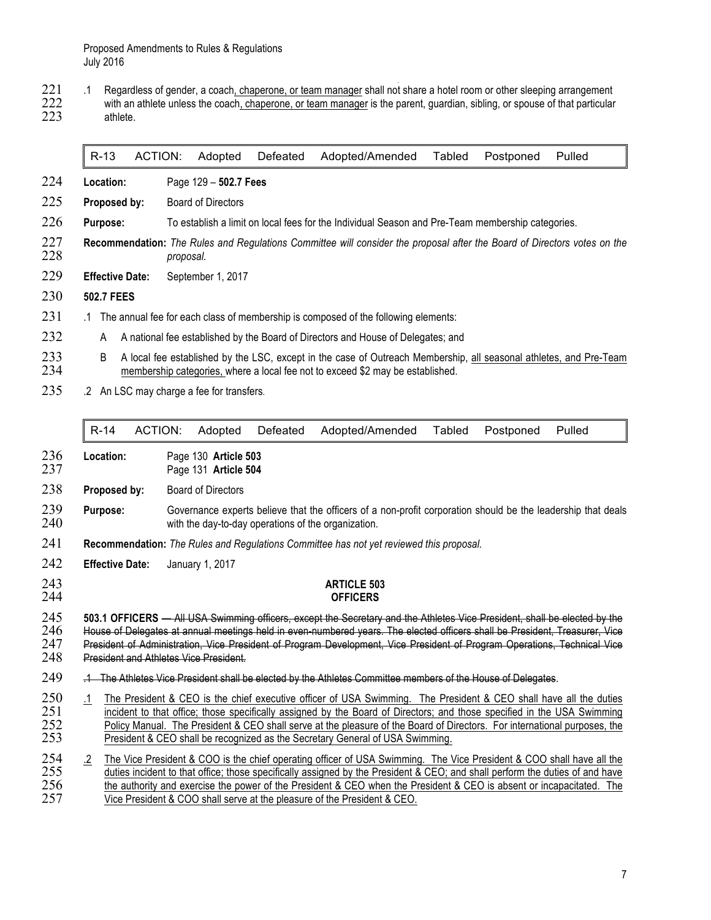Proposed Amendments to Rules & Regulations July 2016

221 .1 Regardless of gender, a coach, chaperone, or team manager shall not share a hotel room or other sleeping arrangement<br>222 with an athlete unless the coach, chaperone, or team manager is the parent, guardian, sibling, with an athlete unless the coach, chaperone, or team manager is the parent, guardian, sibling, or spouse of that particular athlete.

#### R-13 ACTION: Adopted Defeated Adopted/Amended Tabled Postponed Pulled

- **Location:** Page 129 **502.7 Fees**
- **Proposed by:** Board of Directors
- **Purpose:** To establish a limit on local fees for the Individual Season and Pre-Team membership categories.
- **Recommendation:** *The Rules and Regulations Committee will consider the proposal after the Board of Directors votes on the*  proposal.
- **Effective Date:** September 1, 2017
- **502.7 FEES**
- .1 The annual fee for each class of membership is composed of the following elements:
- 232 A A national fee established by the Board of Directors and House of Delegates; and
- 233 B A local fee established by the LSC, except in the case of Outreach Membership, all seasonal athletes, and Pre-Team 234 membership categories, where a local fee not to exceed \$2 may be established. membership categories, where a local fee not to exceed \$2 may be established.
- 235 .2 An LSC may charge a fee for transfers.

|                          |           | $R-14$                 | ACTION: | Adopted                                       | Defeated | Adopted/Amended                                                                                                                                                                                                                                                                                                                                                                                                                                            | Tabled | Postponed | Pulled |
|--------------------------|-----------|------------------------|---------|-----------------------------------------------|----------|------------------------------------------------------------------------------------------------------------------------------------------------------------------------------------------------------------------------------------------------------------------------------------------------------------------------------------------------------------------------------------------------------------------------------------------------------------|--------|-----------|--------|
| 236<br>237               |           | Location:              |         | Page 130 Article 503<br>Page 131 Article 504  |          |                                                                                                                                                                                                                                                                                                                                                                                                                                                            |        |           |        |
| 238                      |           | Proposed by:           |         | <b>Board of Directors</b>                     |          |                                                                                                                                                                                                                                                                                                                                                                                                                                                            |        |           |        |
| 239<br>240               |           | Purpose:               |         |                                               |          | Governance experts believe that the officers of a non-profit corporation should be the leadership that deals<br>with the day-to-day operations of the organization.                                                                                                                                                                                                                                                                                        |        |           |        |
| 241                      |           |                        |         |                                               |          | Recommendation: The Rules and Regulations Committee has not yet reviewed this proposal.                                                                                                                                                                                                                                                                                                                                                                    |        |           |        |
| 242                      |           | <b>Effective Date:</b> |         | January 1, 2017                               |          |                                                                                                                                                                                                                                                                                                                                                                                                                                                            |        |           |        |
| 243<br>244               |           |                        |         |                                               |          | <b>ARTICLE 503</b><br><b>OFFICERS</b>                                                                                                                                                                                                                                                                                                                                                                                                                      |        |           |        |
| 245<br>246<br>247<br>248 |           |                        |         | <b>President and Athletes Vice President.</b> |          | 503.1 OFFICERS — All USA Swimming officers, except the Secretary and the Athletes Vice President, shall be elected by the<br>House of Delegates at annual meetings held in even numbered years. The elected officers shall be President, Treasurer, Vice<br>President of Administration, Vice President of Program Development, Vice President of Program Operations, Technical Vice                                                                       |        |           |        |
| 249                      |           |                        |         |                                               |          | .1 The Athletes Vice President shall be elected by the Athletes Committee members of the House of Delegates.                                                                                                                                                                                                                                                                                                                                               |        |           |        |
| 250<br>251<br>252<br>253 | $\cdot$ 1 |                        |         |                                               |          | The President & CEO is the chief executive officer of USA Swimming. The President & CEO shall have all the duties<br>incident to that office; those specifically assigned by the Board of Directors; and those specified in the USA Swimming<br>Policy Manual. The President & CEO shall serve at the pleasure of the Board of Directors. For international purposes, the<br>President & CEO shall be recognized as the Secretary General of USA Swimming. |        |           |        |
| 254<br>255<br>256<br>257 | $\cdot$   |                        |         |                                               |          | The Vice President & COO is the chief operating officer of USA Swimming. The Vice President & COO shall have all the<br>duties incident to that office; those specifically assigned by the President & CEO; and shall perform the duties of and have<br>the authority and exercise the power of the President & CEO when the President & CEO is absent or incapacitated. The<br>Vice President & COO shall serve at the pleasure of the President & CEO.   |        |           |        |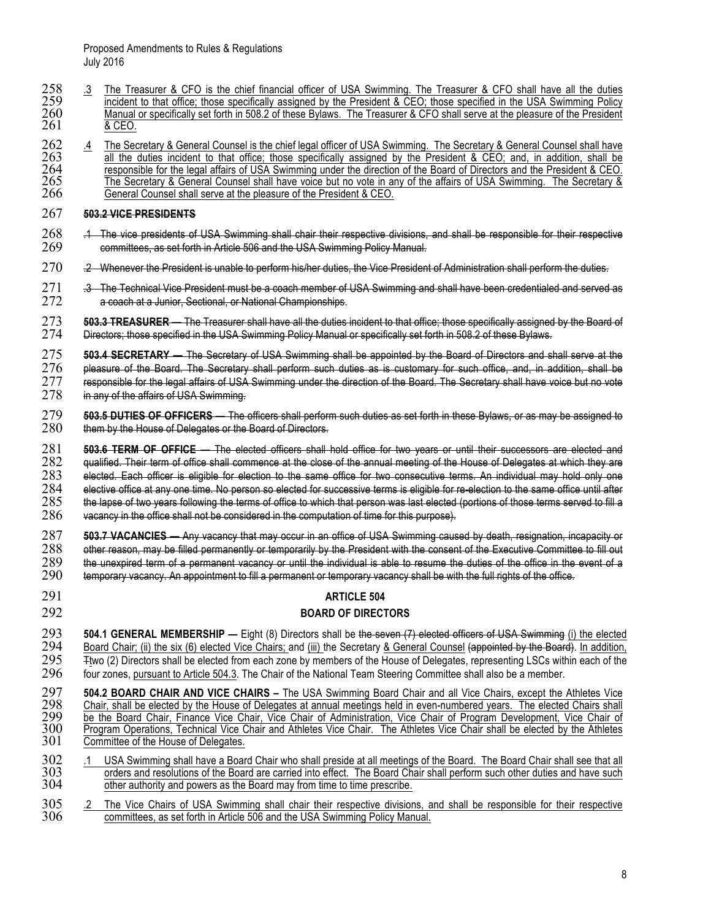- 258 .3 The Treasurer & CFO is the chief financial officer of USA Swimming. The Treasurer & CFO shall have all the duties 259 incident to that office; those specifically assigned by the President & CEO; those specified in t 259 incident to that office; those specifically assigned by the President & CEO; those specified in the USA Swimming Policy 260 Manual or specifically set forth in 508.2 of these Bylaws. The Treasurer & CFO shall serve at the pleasure of the President 261 & CEO.
- <sup>262</sup> .4 The Secretary & General Counsel is the chief legal officer of USA Swimming. The Secretary & General Counsel shall have<br><sup>263</sup> all the duties incident to that office; those specifically assigned by the President & C 263 all the duties incident to that office; those specifically assigned by the President & CEO; and, in addition, shall be 264 responsible for the legal affairs of USA Swimming under the direction of the Board of Directors responsible for the legal affairs of USA Swimming under the direction of the Board of Directors and the President & CEO.<br>265 The Secretary & General Counsel shall have voice but no vote in any of the affairs of USA Swimmin 265 The Secretary & General Counsel shall have voice but no vote in any of the affairs of USA Swimming. The Secretary & 266 Secretary & General Counsel shall serve at the pleasure of the President & CEO.

#### 267 **503.2 VICE PRESIDENTS**

- 268 .1 The vice presidents of USA Swimming shall chair their respective divisions, and shall be responsible for their respective<br>269 committees, as set forth in Article 506 and the USA Swimming Policy Manual. 269 committees, as set forth in Article 506 and the USA Swimming Policy Manual.
- 270 .2 Whenever the President is unable to perform his/her duties, the Vice President of Administration shall perform the duties.
- 271 .3 The Technical Vice President must be a coach member of USA Swimming and shall have been credentialed and served as<br>272 a eoach at a Junior, Sectional, or National Championships. a coach at a Junior, Sectional, or National Championships.
- 273 **503.3 TREASURER** The Treasurer shall have all the duties incident to that office; those specifically assigned by the Board of 274 Directors: those specifical and the Board of 274 Directors: those specified in the US Directors; those specified in the USA Swimming Policy Manual or specifically set forth in 508.2 of these Bylaws.
- 275 **503.4 SECRETARY** The Secretary of USA Swimming shall be appointed by the Board of Directors and shall serve at the<br>276 pleasure of the Board. The Secretary shall perform such duties as is customary for such office, 276 pleasure of the Board. The Secretary shall perform such duties as is customary for such office, and, in addition, shall be<br>277 responsible for the legal affairs of USA Swimming under the direction of the Board. The Sec 277 responsible for the legal affairs of USA Swimming under the direction of the Board. The Secretary shall have voice but no vote 278 in any of the affairs of USA Swimming.
- in any of the affairs of USA Swimming.
- 279 **503.5 DUTIES OF OFFICERS** The officers shall perform such duties as set forth in these Bylaws, or as may be assigned to 280 them by the House of Delegates or the Board of Directors. them by the House of Delegates or the Board of Directors.
- 281 **503.6 TERM OF OFFICE** The elected officers shall hold office for two years or until their successors are elected and<br>282 gualified. Their term of office shall commence at the close of the annual meeting of the House 282 qualified. Their term of office shall commence at the close of the annual meeting of the House of Delegates at which they are<br>283 elected. Each officer is eligible for election to the same office for two consecutive te  $283$  elected. Each officer is eligible for election to the same office for two consecutive terms. An individual may hold only one  $284$  elective office until after  $284$  elective office at any one time. No person so elected for successive terms is eligible for re-election to the same office until after  $285$  the lapse of two years following the terms of the terms served to fill a  $285$  the lapse of two years following the terms of office to which that person was last elected (portions of those terms served to fill a  $286$  vacancy in the office shall not be considered in the computation of time for
- 286 vacancy in the office shall not be considered in the computation of time for this purpose).
- 

287 **503.7 VACANCIES —** Any vacancy that may occur in an office of USA Swimming caused by death, resignation, incapacity or 288 other reason, may be filled permanently or temporarily by the President with the consent of the Executive Committee to fill out<br>289 the unexpired term of a permanent vacancy or until the individual is able to resume th 289 the unexpired term of a permanent vacancy or until the individual is able to resume the duties of the office in the event of a<br>290 temporary vacancy. An appointment to fill a permanent or temporary vacancy shall be wit temporary vacancy. An appointment to fill a permanent or temporary vacancy shall be with the full rights of the office.

# 291 **ARTICLE 504**

#### 292 **BOARD OF DIRECTORS**

**504.1 GENERAL MEMBERSHIP** — Eight (8) Directors shall be the seven (7) elected officers of USA Swimming (i) the elected  $294$  Board Chair; (ii) the six (6) elected Vice Chairs; and (iii) the Secretary & General Counsel (a 294 Board Chair; (ii) the six (6) elected Vice Chairs; and (iii) the Secretary & General Counsel (appointed by the Board). In addition, 295 Fitwo (2) Directors shall be elected from each zone by members of the House of Del 295 Ttwo (2) Directors shall be elected from each zone by members of the House of Delegates, representing LSCs within each of the 296 four zones, pursuant to Article 504.3. The Chair of the National Team Steering Committe four zones, pursuant to Article 504.3. The Chair of the National Team Steering Committee shall also be a member.

- 297 **504.2 BOARD CHAIR AND VICE CHAIRS –** The USA Swimming Board Chair and all Vice Chairs, except the Athletes Vice 298 Chair, shall be elected by the House of Delegates at annual meetings held in even-numbered years. The elected Chairs shall 299 be the Board Chair, Finance Vice Chair, Vice Chair of Administration, Vice Chair of Program Development, Vice Chair of<br>300 Program Operations, Technical Vice Chair and Athletes Vice Chair. The Athletes Vice Chair shall 300 Program Operations, Technical Vice Chair and Athletes Vice Chair. The Athletes Vice Chair shall be elected by the Athletes 301 Committee of the House of Delegates. Committee of the House of Delegates.
- 1 USA Swimming shall have a Board Chair who shall preside at all meetings of the Board. The Board Chair shall see that all<br>303 orders and resolutions of the Board are carried into effect. The Board Chair shall perform such 303 orders and resolutions of the Board are carried into effect. The Board Chair shall perform such other duties and have such 304 other authority and powers as the Board may from time to time prescribe. other authority and powers as the Board may from time to time prescribe.
- 305 . 2 The Vice Chairs of USA Swimming shall chair their respective divisions, and shall be responsible for their respective<br>306 . committees, as set forth in Article 506 and the USA Swimming Policy Manual. committees, as set forth in Article 506 and the USA Swimming Policy Manual.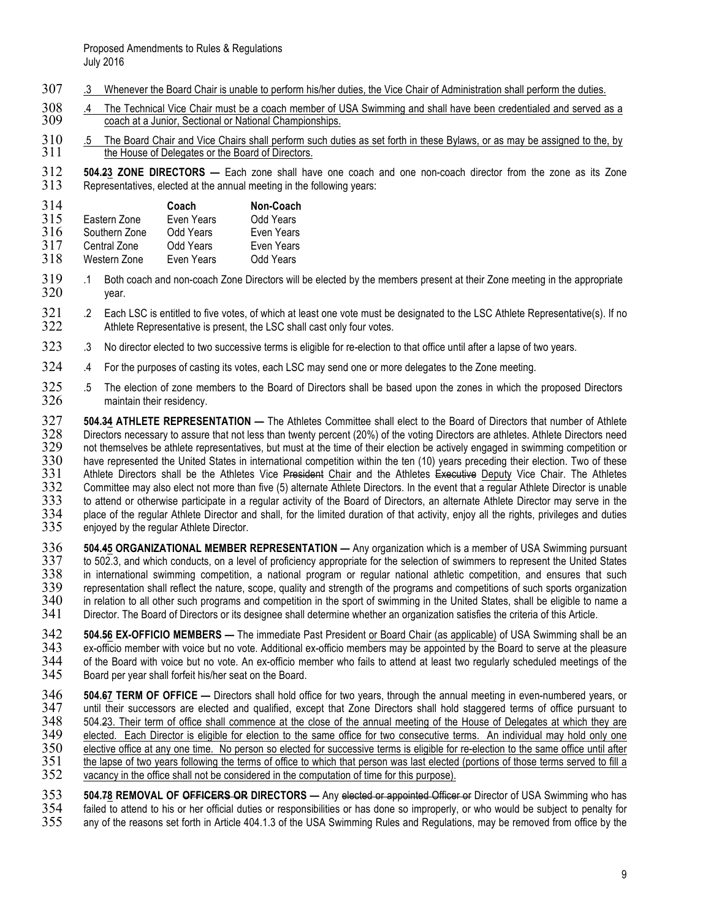- 307 .3 Whenever the Board Chair is unable to perform his/her duties, the Vice Chair of Administration shall perform the duties.
- 308 .4 The Technical Vice Chair must be a coach member of USA Swimming and shall have been credentialed and served as a<br>309 coach at a Junior, Sectional or National Championships. coach at a Junior, Sectional or National Championships.
- 310 .5 The Board Chair and Vice Chairs shall perform such duties as set forth in these Bylaws, or as may be assigned to the, by 311 ... the House of Delegates or the Board of Directors. the House of Delegates or the Board of Directors.
- 312 **504.23 ZONE DIRECTORS —** Each zone shall have one coach and one non-coach director from the zone as its Zone Representatives, elected at the annual meeting in the following years:

| 314 |               | Coach      | Non-Coach  |
|-----|---------------|------------|------------|
| 315 | Eastern Zone  | Even Years | Odd Years  |
| 316 | Southern Zone | Odd Years  | Even Years |
| 317 | Central Zone  | Odd Years  | Even Years |
| 318 | Western Zone  | Even Years | Odd Years  |

- 319 .1 Both coach and non-coach Zone Directors will be elected by the members present at their Zone meeting in the appropriate 320 year.
- 321 .2 Each LSC is entitled to five votes, of which at least one vote must be designated to the LSC Athlete Representative(s). If no<br>322 Athlete Representative is present, the LSC shall cast only four votes. Athlete Representative is present, the LSC shall cast only four votes.
- 323 .3 No director elected to two successive terms is eligible for re-election to that office until after a lapse of two years.
- 324 .4 For the purposes of casting its votes, each LSC may send one or more delegates to the Zone meeting.
- 325 .5 The election of zone members to the Board of Directors shall be based upon the zones in which the proposed Directors<br>326 maintain their residency. maintain their residency.

504.34 ATHLETE REPRESENTATION — The Athletes Committee shall elect to the Board of Directors that number of Athlete<br>328 Directors necessary to assure that not less than twenty percent (20%) of the voting Directors are athl Directors necessary to assure that not less than twenty percent (20%) of the voting Directors are athletes. Athlete Directors need<br>329 not themselves be athlete representatives, but must at the time of their election be ac not themselves be athlete representatives, but must at the time of their election be actively engaged in swimming competition or 330 have represented the United States in international competition within the ten (10) years preceding their election. Two of these 331 Athlete Directors shall be the Athletes Vice President Chair and the Athletes Executi 331 Athlete Directors shall be the Athletes Vice President Chair and the Athletes Executive Deputy Vice Chair. The Athletes<br>332 Committee may also elect not more than five (5) alternate Athlete Directors. In the event that 332 Committee may also elect not more than five (5) alternate Athlete Directors. In the event that a regular Athlete Director is unable<br>333 to attend or otherwise participate in a regular activity of the Board of Directors 333 to attend or otherwise participate in a regular activity of the Board of Directors, an alternate Athlete Director may serve in the<br>334 place of the regular Athlete Director and shall, for the limited duration of that a 334 place of the regular Athlete Director and shall, for the limited duration of that activity, enjoy all the rights, privileges and duties<br>335 enjoyed by the regular Athlete Director. enjoyed by the regular Athlete Director.

- 504.45 ORGANIZATIONAL MEMBER REPRESENTATION Any organization which is a member of USA Swimming pursuant<br>337 to 502.3, and which conducts, on a level of proficiency appropriate for the selection of swimmers to represent t 337 to 502.3, and which conducts, on a level of proficiency appropriate for the selection of swimmers to represent the United States<br>338 in international swimming competition, a national program or regular national athleti 338 in international swimming competition, a national program or regular national athletic competition, and ensures that such<br>339 representation shall reflect the nature, scope, quality and strength of the programs and com 339 representation shall reflect the nature, scope, quality and strength of the programs and competitions of such sports organization<br>340 in relation to all other such programs and competition in the sport of swimming in t 340 in relation to all other such programs and competition in the sport of swimming in the United States, shall be eligible to name a<br>341 Director. The Board of Directors or its designee shall determine whether an organiza Director. The Board of Directors or its designee shall determine whether an organization satisfies the criteria of this Article.
- 504.56 **EX-OFFICIO MEMBERS** The immediate Past President or Board Chair (as applicable) of USA Swimming shall be an<br>343 ex-officio member with voice but no vote. Additional ex-officio members may be appointed by the Boar 343 ex-officio member with voice but no vote. Additional ex-officio members may be appointed by the Board to serve at the pleasure<br>344 of the Board with voice but no vote. An ex-officio member who fails to attend at least 344 of the Board with voice but no vote. An ex-officio member who fails to attend at least two regularly scheduled meetings of the 345 Board per year shall forfeit his/her seat on the Board.
- 346 **504.67 TERM OF OFFICE —** Directors shall hold office for two years, through the annual meeting in even-numbered years, or 347 until their successors are elected and qualified, except that Zone Directors shall hold staggered terms of office pursuant to 348 504.23. Their term of office shall commence at the close of the annual meeting of the Ho 348 504.23. Their term of office shall commence at the close of the annual meeting of the House of Delegates at which they are<br>349 elected. Each Director is eligible for election to the same office for two consecutive term 349 elected. Each Director is eligible for election to the same office for two consecutive terms. An individual may hold only one 350 elective office at any one time. No person so elected for successive terms is eligible f 350 elective office at any one time. No person so elected for successive terms is eligible for re-election to the same office until after 351 the lapse of two years following the terms of office to which that person was la 351 the lapse of two years following the terms of office to which that person was last elected (portions of those terms served to fill a 352 vacancy in the office shall not be considered in the computation of time for this vacancy in the office shall not be considered in the computation of time for this purpose).
- 553 **504.78 REMOVAL OF <del>OFFICERS OR</del> DIRECTORS** Any elected or appointed Officer or Director of USA Swimming who has<br>354 failed to attend to his or her official duties or responsibilities or has done so improperly, or wh 354 failed to attend to his or her official duties or responsibilities or has done so improperly, or who would be subject to penalty for any of the reasons set forth in Article 404.1.3 of the USA Swimming Rules and Regulations, may be removed from office by the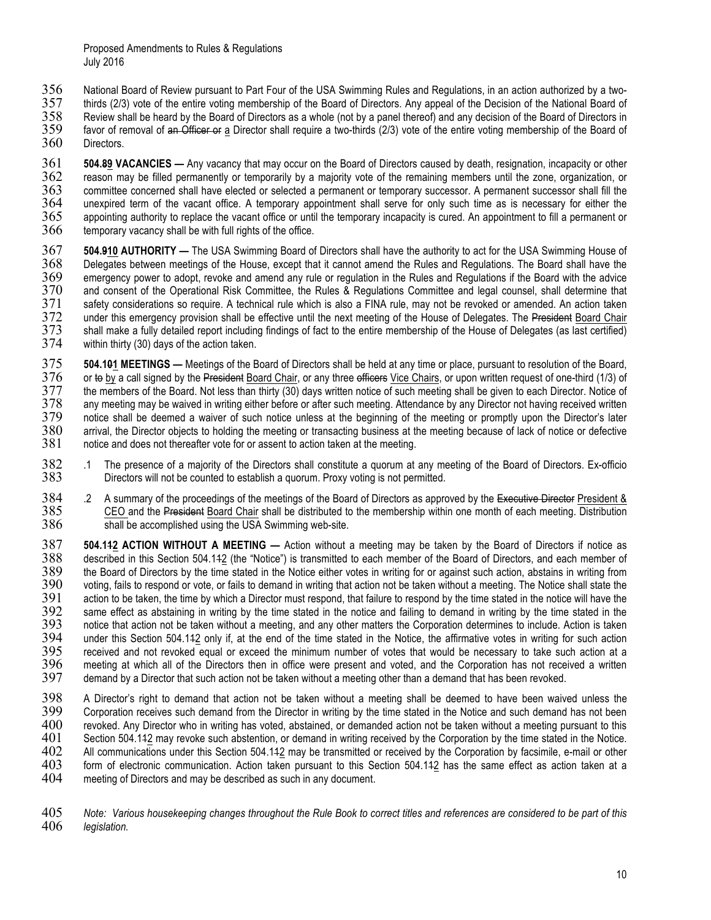- 356 National Board of Review pursuant to Part Four of the USA Swimming Rules and Regulations, in an action authorized by a two-<br>357 thirds (2/3) vote of the entire voting membership of the Board of Directors. Any appeal of
- thirds (2/3) vote of the entire voting membership of the Board of Directors. Any appeal of the Decision of the National Board of<br>358 Review shall be heard by the Board of Directors as a whole (not by a panel thereof) and a Review shall be heard by the Board of Directors as a whole (not by a panel thereof) and any decision of the Board of Directors in
- 359 favor of removal of <del>an Officer or</del> <u>a</u> Director shall require a two-thirds (2/3) vote of the entire voting membership of the Board of<br>360 Directors.
- Directors.
- 504.89 VACANCIES Any vacancy that may occur on the Board of Directors caused by death, resignation, incapacity or other<br>362 reason may be filled permanently or temporarily by a majority vote of the remaining members unti 362 reason may be filled permanently or temporarily by a majority vote of the remaining members until the zone, organization, or 363 committee concerned shall have elected or selected a permanent or temporary successor. A permanent successor shall fill the<br>364 unexpired term of the vacant office. A temporary appointment shall serve for only such tim 364 unexpired term of the vacant office. A temporary appointment shall serve for only such time as is necessary for either the 365 appointing authority to replace the vacant office or until the temporary incapacity is cure 365 appointing authority to replace the vacant office or until the temporary incapacity is cured. An appointment to fill a permanent or 366 temporary vacancy shall be with full rights of the office. temporary vacancy shall be with full rights of the office.
- 367 **504.910 AUTHORITY —** The USA Swimming Board of Directors shall have the authority to act for the USA Swimming House of 368 Delegates between meetings of the House, except that it cannot amend the Rules and Regulations. The Board shall have the 369 emergency power to adopt, revoke and amend any rule or regulation in the Rules and Regulation 369 emergency power to adopt, revoke and amend any rule or regulation in the Rules and Regulations if the Board with the advice 370 and consent of the Operational Risk Committee, the Rules & Regulations Committee and legal counsel, shall determine that<br>371 safety considerations so require. A technical rule which is also a FINA rule, may not be revo 371 safety considerations so require. A technical rule which is also a FINA rule, may not be revoked or amended. An action taken<br>372 under this emergency provision shall be effective until the next meeting of the House of 372 under this emergency provision shall be effective until the next meeting of the House of Delegates. The President Board Chair<br>373 shall make a fully detailed report including findings of fact to the entire membership o 373 shall make a fully detailed report including findings of fact to the entire membership of the House of Delegates (as last certified) within thirty (30) days of the action taken.
- 504.101 MEETINGS Meetings of the Board of Directors shall be held at any time or place, pursuant to resolution of the Board,<br>376 or to by a call signed by the President Board Chair, or any three efficers Vice Chairs, or 376 or to by a call signed by the President Board Chair, or any three efficers Vice Chairs, or upon written request of one-third (1/3) of 377 the members of the Board. Not less than thirty (30) days written notice of such 377 the members of the Board. Not less than thirty (30) days written notice of such meeting shall be given to each Director. Notice of 378 any meeting may be waived in writing either before or after such meeting. Attendanc 378 any meeting may be waived in writing either before or after such meeting. Attendance by any Director not having received written<br>379 notice shall be deemed a waiver of such notice unless at the beginning of the meeting 379 notice shall be deemed a waiver of such notice unless at the beginning of the meeting or promptly upon the Director's later<br>380 arrival, the Director objects to holding the meeting or transacting business at the meetin 380 arrival, the Director objects to holding the meeting or transacting business at the meeting because of lack of notice or defective 381 notice and does not thereafter vote for or assent to action taken at the meeting. notice and does not thereafter vote for or assent to action taken at the meeting.
- 1 The presence of a majority of the Directors shall constitute a quorum at any meeting of the Board of Directors. Ex-officio<br>383 Directors will not be counted to establish a quorum. Proxy voting is not permitted. Directors will not be counted to establish a quorum. Proxy voting is not permitted.
- 2 A summary of the proceedings of the meetings of the Board of Directors as approved by the Executive Director President &<br>385 CEO and the President Board Chair shall be distributed to the membership within one month of ea 385 CEO and the President Board Chair shall be distributed to the membership within one month of each meeting. Distribution 386 shall be accomplished using the USA Swimming web-site. shall be accomplished using the USA Swimming web-site.
- **504.142 ACTION WITHOUT A MEETING** Action without a meeting may be taken by the Board of Directors if notice as described in this Section 504.142 (the "Notice") is transmitted to each member of the Board of Directors, an 388 described in this Section 504.142 (the "Notice") is transmitted to each member of the Board of Directors, and each member of 389 the Board of Directors by the time stated in the Notice either votes in writing for or ag 389 the Board of Directors by the time stated in the Notice either votes in writing for or against such action, abstains in writing from 390 voting, fails to respond or vote, or fails to demand in writing that action not be taken without a meeting. The Notice shall state the<br>391 action to be taken, the time by which a Director must respond, that failure to 391 action to be taken, the time by which a Director must respond, that failure to respond by the time stated in the notice will have the<br>392 same effect as abstaining in writing by the time stated in the notice and failin 392 same effect as abstaining in writing by the time stated in the notice and failing to demand in writing by the time stated in the 393 notice that action not be taken without a meeting, and any other matters the Corporat 393 notice that action not be taken without a meeting, and any other matters the Corporation determines to include. Action is taken<br>394 under this Section 504.142 only if, at the end of the time stated in the Notice, the a 394 under this Section 504.142 only if, at the end of the time stated in the Notice, the affirmative votes in writing for such action<br>395 received and not revoked equal or exceed the minimum number of votes that would be n 395 received and not revoked equal or exceed the minimum number of votes that would be necessary to take such action at a<br>396 meeting at which all of the Directors then in office were present and voted, and the Corporation 396 meeting at which all of the Directors then in office were present and voted, and the Corporation has not received a written<br>397 demand by a Director that such action not be taken without a meeting other than a demand t demand by a Director that such action not be taken without a meeting other than a demand that has been revoked.
- 398 A Director's right to demand that action not be taken without a meeting shall be deemed to have been waived unless the<br>399 Corporation receives such demand from the Director in writing by the time stated in the Notice 399 Corporation receives such demand from the Director in writing by the time stated in the Notice and such demand has not been 400 revoked. Any Director who in writing has voted, abstained, or demanded action not be taken without a meeting pursuant to this<br>401 Section 504.142 may revoke such abstention, or demand in writing received by the Corpora Section 504.142 may revoke such abstention, or demand in writing received by the Corporation by the time stated in the Notice. 402 All communications under this Section 504.142 may be transmitted or received by the Corporation by facsimile, e-mail or other 403 form of electronic communication. Action taken pursuant to this Section 504.142 has the same effect as action taken at a 404 meeting of Directors and may be described as such in any document. meeting of Directors and may be described as such in any document.
- 405 *Note: Various housekeeping changes throughout the Rule Book to correct titles and references are considered to be part of this*  legislation.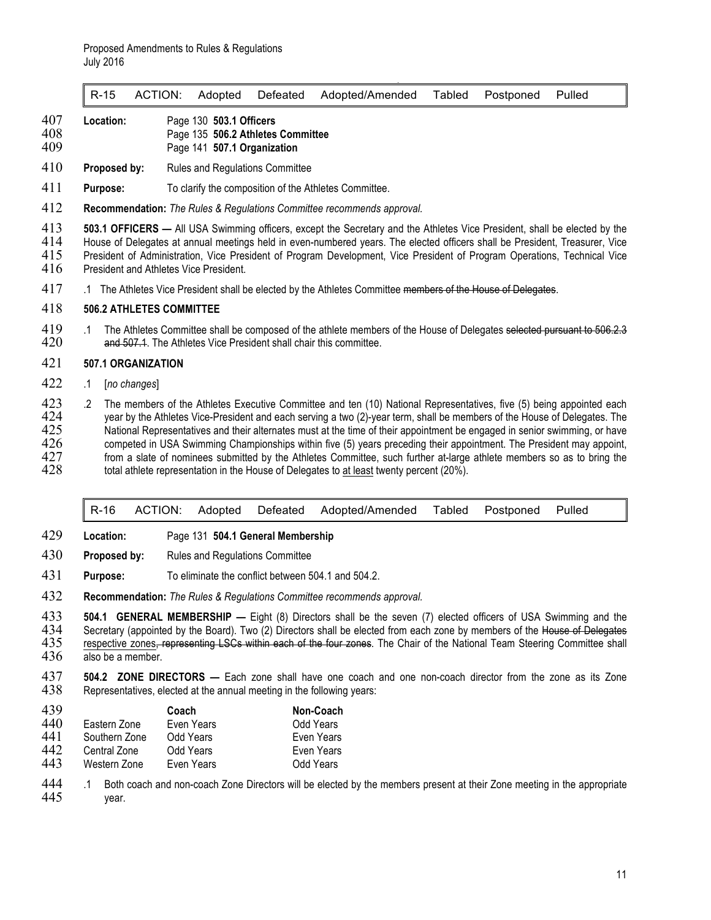|  |  |  |  | R-15 ACTION: Adopted Defeated Adopted/Amended Tabled Postponed Pulled |  |  |  |  |
|--|--|--|--|-----------------------------------------------------------------------|--|--|--|--|
|--|--|--|--|-----------------------------------------------------------------------|--|--|--|--|

- 407 **Location:** Page 130 **503.1 Officers**
- 408 Page 135 **506.2 Athletes Committee**
- 409 Page 141 **507.1 Organization**
- 410 **Proposed by:** Rules and Regulations Committee
- 411 **Purpose:** To clarify the composition of the Athletes Committee.
- 412 **Recommendation:** *The Rules & Regulations Committee recommends approval.*
- **503.1 OFFICERS** All USA Swimming officers, except the Secretary and the Athletes Vice President, shall be elected by the 414 House of Delegates at annual meetings held in even-numbered years. The elected officers shall 414 House of Delegates at annual meetings held in even-numbered years. The elected officers shall be President, Treasurer, Vice<br>415 President of Administration, Vice President of Program Development, Vice President of Prog 415 President of Administration, Vice President of Program Development, Vice President of Program Operations, Technical Vice<br>416 President and Athletes Vice President.
- President and Athletes Vice President.
- 417 .1 The Athletes Vice President shall be elected by the Athletes Committee members of the House of Delegates.

#### 418 **506.2 ATHLETES COMMITTEE**

19 .1 The Athletes Committee shall be composed of the athlete members of the House of Delegates selected pursuant to 506.2.3<br>420 **and 507.1**. The Athletes Vice President shall chair this committee. and 507.1. The Athletes Vice President shall chair this committee.

#### 421 **507.1 ORGANIZATION**

- 422 .1 [*no changes*]
- 123 .2 The members of the Athletes Executive Committee and ten (10) National Representatives, five (5) being appointed each<br>424 vear by the Athletes Vice-President and each serving a two (2)-year term, shall be members of 424 year by the Athletes Vice-President and each serving a two (2)-year term, shall be members of the House of Delegates. The<br>425 National Representatives and their alternates must at the time of their appointment be engag 425 National Representatives and their alternates must at the time of their appointment be engaged in senior swimming, or have 426 competed in USA Swimming Championships within five (5) years preceding their appointment. T competed in USA Swimming Championships within five (5) years preceding their appointment. The President may appoint, 427 from a slate of nominees submitted by the Athletes Committee, such further at-large athlete members so as to bring the 428 total athlete representation in the House of Delegates to at least twenty percent (20%). total athlete representation in the House of Delegates to at least twenty percent (20%).

|  |  | R-16 ACTION: Adopted Defeated Adopted/Amended Tabled Postponed Pulled |  |  |
|--|--|-----------------------------------------------------------------------|--|--|
|  |  |                                                                       |  |  |

- 429 **Location:** Page 131 **504.1 General Membership**
- 430 **Proposed by:** Rules and Regulations Committee
- 431 **Purpose:** To eliminate the conflict between 504.1 and 504.2.
- 432 **Recommendation:** *The Rules & Regulations Committee recommends approval.*

**504.1 GENERAL MEMBERSHIP** — Eight (8) Directors shall be the seven (7) elected officers of USA Swimming and the 434 Secretary (appointed by the Board). Two (2) Directors shall be elected from each zone by members of the H 434 Secretary (appointed by the Board). Two (2) Directors shall be elected from each zone by members of the House of Delegates<br>435 respective zones<del>, representing LSCs within each of the four zones</del>. The Chair of the Natio 435 respective zones, representing LSCs within each of the four zones. The Chair of the National Team Steering Committee shall<br>436 also be a member. also be a member.

437 **504.2 ZONE DIRECTORS —** Each zone shall have one coach and one non-coach director from the zone as its Zone 438 Representatives, elected at the annual meeting in the following years:

| 439 |               | Coach      | Non-Coach  |
|-----|---------------|------------|------------|
| 440 | Eastern Zone  | Even Years | Odd Years  |
| 441 | Southern Zone | Odd Years  | Even Years |
| 442 | Central Zone  | Odd Years  | Even Years |
| 443 | Western Zone  | Even Years | Odd Years  |

1 1 Both coach and non-coach Zone Directors will be elected by the members present at their Zone meeting in the appropriate<br>445 vear. vear.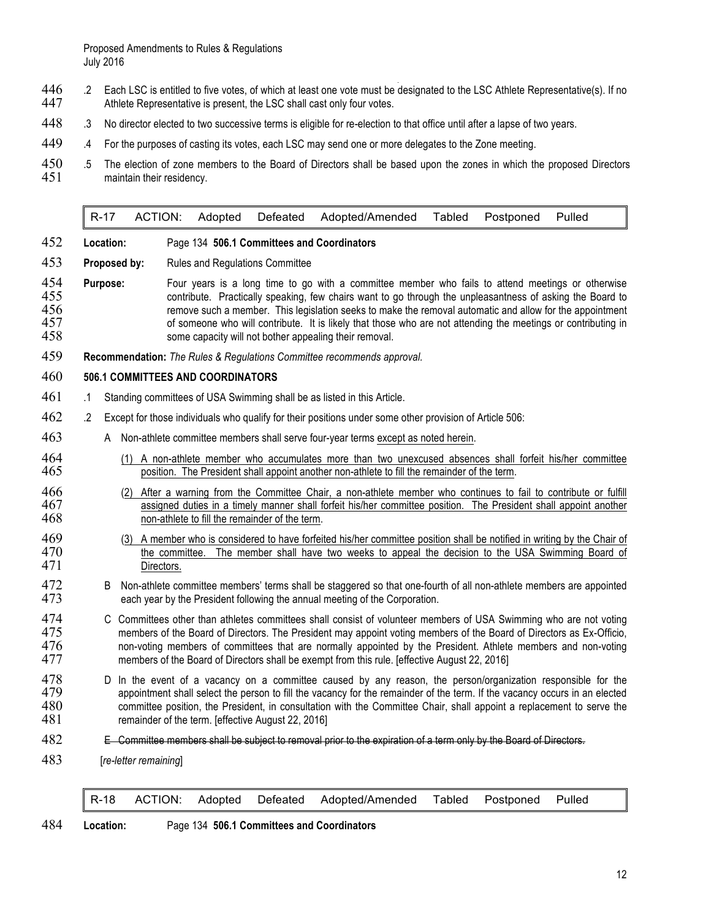- 446 . 2 Each LSC is entitled to five votes, of which at least one vote must be designated to the LSC Athlete Representative(s). If no<br>447 Athlete Representative is present, the LSC shall cast only four votes. Athlete Representative is present, the LSC shall cast only four votes.
- 448 .3 No director elected to two successive terms is eligible for re-election to that office until after a lapse of two years.
- 449 .4 For the purposes of casting its votes, each LSC may send one or more delegates to the Zone meeting.
- 450 .5 The election of zone members to the Board of Directors shall be based upon the zones in which the proposed Directors 451 maintain their residency.

R-17 ACTION: Adopted Defeated Adopted/Amended Tabled Postponed Pulled

- 452 **Location:** Page 134 **506.1 Committees and Coordinators**
- 453 **Proposed by:** Rules and Regulations Committee
- 454 **Purpose:** Four years is a long time to go with a committee member who fails to attend meetings or otherwise<br>455 contribute. Practically speaking, few chairs want to go through the unpleasantness of asking the Board to 455 contribute. Practically speaking, few chairs want to go through the unpleasantness of asking the Board to 456 **remove such a member.** This legislation seeks to make the removal automatic and allow for the appointment 457 contributing in the superance who will contribute. It is likely that those who are not attending the meetin 457 of someone who will contribute. It is likely that those who are not attending the meetings or contributing in<br>458 some capacity will not bother appealing their removal. some capacity will not bother appealing their removal.
- 459 **Recommendation:** *The Rules & Regulations Committee recommends approval.*

# 460 **506.1 COMMITTEES AND COORDINATORS**

- 461 .1 Standing committees of USA Swimming shall be as listed in this Article.
- 462 .2 Except for those individuals who qualify for their positions under some other provision of Article 506:
- 463 A Non-athlete committee members shall serve four-year terms except as noted herein.
- 464 (1) A non-athlete member who accumulates more than two unexcused absences shall forfeit his/her committee<br>465 sposition. The President shall appoint another non-athlete to fill the remainder of the term. position. The President shall appoint another non-athlete to fill the remainder of the term.
- 466 (2) After a warning from the Committee Chair, a non-athlete member who continues to fail to contribute or fulfill 467 assigned duties in a timely manner shall forfeit his/her committee position. The President shall appoint another 468 non-athlete to fill the remainder of the term.
- 469 (3) A member who is considered to have forfeited his/her committee position shall be notified in writing by the Chair of 470 the committee. The member shall have two weeks to appeal the decision to the USA Swimming Boa the committee. The member shall have two weeks to appeal the decision to the USA Swimming Board of 471 Directors.
- 472 B Non-athlete committee members' terms shall be staggered so that one-fourth of all non-athlete members are appointed 473 each year by the President following the annual meeting of the Corporation. each year by the President following the annual meeting of the Corporation.
- 474 C Committees other than athletes committees shall consist of volunteer members of USA Swimming who are not voting<br>475 members of the Board of Directors. The President may appoint voting members of the Board of Director 475 members of the Board of Directors. The President may appoint voting members of the Board of Directors as Ex-Officio,<br>476 non-voting members of committees that are normally appointed by the President. Athlete members an non-voting members of committees that are normally appointed by the President. Athlete members and non-voting 477 members of the Board of Directors shall be exempt from this rule. [effective August 22, 2016]
- 478 D In the event of a vacancy on a committee caused by any reason, the person/organization responsible for the 479 appointment shall select the person to fill the vacancy for the remainder of the term. If the vacancy occ 479 appointment shall select the person to fill the vacancy for the remainder of the term. If the vacancy occurs in an elected 480 committee position, the President, in consultation with the Committee Chair, shall appoint committee position, the President, in consultation with the Committee Chair, shall appoint a replacement to serve the 481 remainder of the term. [effective August 22, 2016]
- 482 E Committee members shall be subject to removal prior to the expiration of a term only by the Board of Directors.
- 483 [*re-letter remaining*]

R-18 ACTION: Adopted Defeated Adopted/Amended Tabled Postponed Pulled

484 **Location:** Page 134 **506.1 Committees and Coordinators**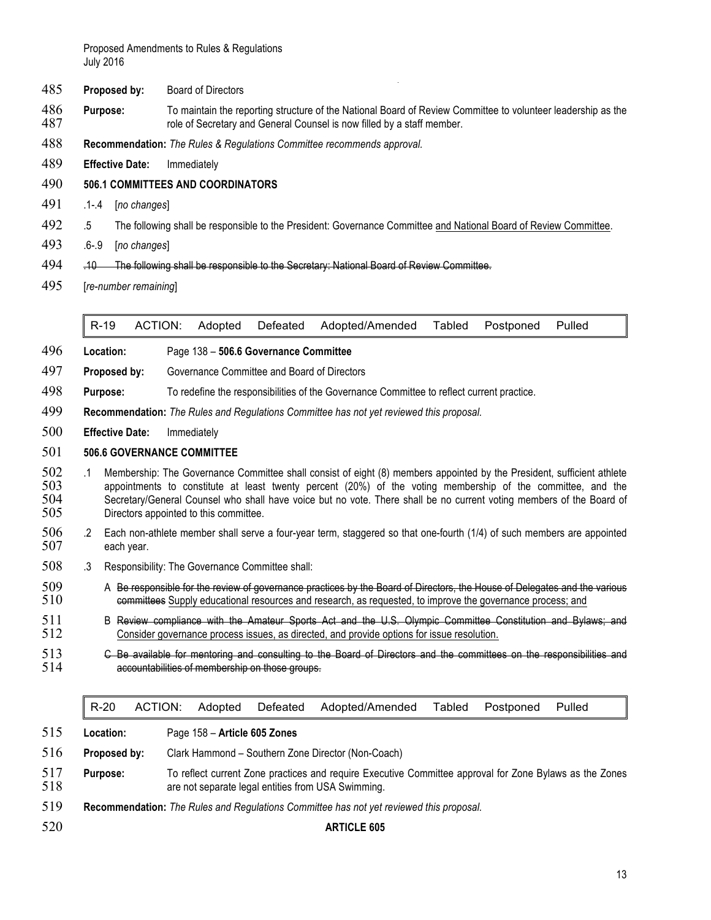Proposed Amendments to Rules & Regulations July 2016

- **Proposed by:** Board of Directors
- **Purpose:** To maintain the reporting structure of the National Board of Review Committee to volunteer leadership as the 487 role of Secretary and General Counsel is now filled by a staff member.
- **Recommendation:** *The Rules & Regulations Committee recommends approval.*
- **Effective Date:** Immediately

#### **506.1 COMMITTEES AND COORDINATORS**

- .1-.4 [*no changes*]
- .5 The following shall be responsible to the President: Governance Committee and National Board of Review Committee.
- .6-.9 [*no changes*]
- .10 The following shall be responsible to the Secretary: National Board of Review Committee.
- [*re-number remaining*]

R-19 ACTION: Adopted Defeated Adopted/Amended Tabled Postponed Pulled

- **Location:** Page 138 **506.6 Governance Committee**
- **Proposed by:** Governance Committee and Board of Directors
- **Purpose:** To redefine the responsibilities of the Governance Committee to reflect current practice.
- **Recommendation:** *The Rules and Regulations Committee has not yet reviewed this proposal.*
- **Effective Date:** Immediately

#### **506.6 GOVERNANCE COMMITTEE**

- 502 .1 Membership: The Governance Committee shall consist of eight (8) members appointed by the President, sufficient athlete<br>503 appointments to constitute at least twenty percent (20%) of the voting membership of the com appointments to constitute at least twenty percent (20%) of the voting membership of the committee, and the Secretary/General Counsel who shall have voice but no vote. There shall be no current voting members of the Board of Directors appointed to this committee.
- .2 Each non-athlete member shall serve a four-year term, staggered so that one-fourth (1/4) of such members are appointed each year.
- .3 Responsibility: The Governance Committee shall:
- 509 A Be responsible for the review of governance practices by the Board of Directors, the House of Delegates and the various<br>510 committees Supply educational resources and research, as requested, to improve the governanc committees Supply educational resources and research, as requested, to improve the governance process; and
- 511 B Review compliance with the Amateur Sports Act and the U.S. Olympic Committee Constitution and Bylaws; and<br>512 Consider governance process issues, as directed, and provide options for issue resolution. Consider governance process issues, as directed, and provide options for issue resolution.
- **C Be available for mentoring and consulting to the Board of Directors and the committees on the responsibilities and 514** accountabilities of membership on those groups.

|            | $R-20$       | ACTION: | Adopted                      | Defeated | Adopted/Amended                                                                                                                                               | Tabled | Postponed | Pulled |
|------------|--------------|---------|------------------------------|----------|---------------------------------------------------------------------------------------------------------------------------------------------------------------|--------|-----------|--------|
| 515        | Location:    |         | Page 158 - Article 605 Zones |          |                                                                                                                                                               |        |           |        |
| 516        | Proposed by: |         |                              |          | Clark Hammond – Southern Zone Director (Non-Coach)                                                                                                            |        |           |        |
| 517<br>518 | Purpose:     |         |                              |          | To reflect current Zone practices and require Executive Committee approval for Zone Bylaws as the Zones<br>are not separate legal entities from USA Swimming. |        |           |        |
| 519        |              |         |                              |          | <b>Recommendation:</b> The Rules and Regulations Committee has not yet reviewed this proposal.                                                                |        |           |        |
| 520        |              |         |                              |          | <b>ARTICLE 605</b>                                                                                                                                            |        |           |        |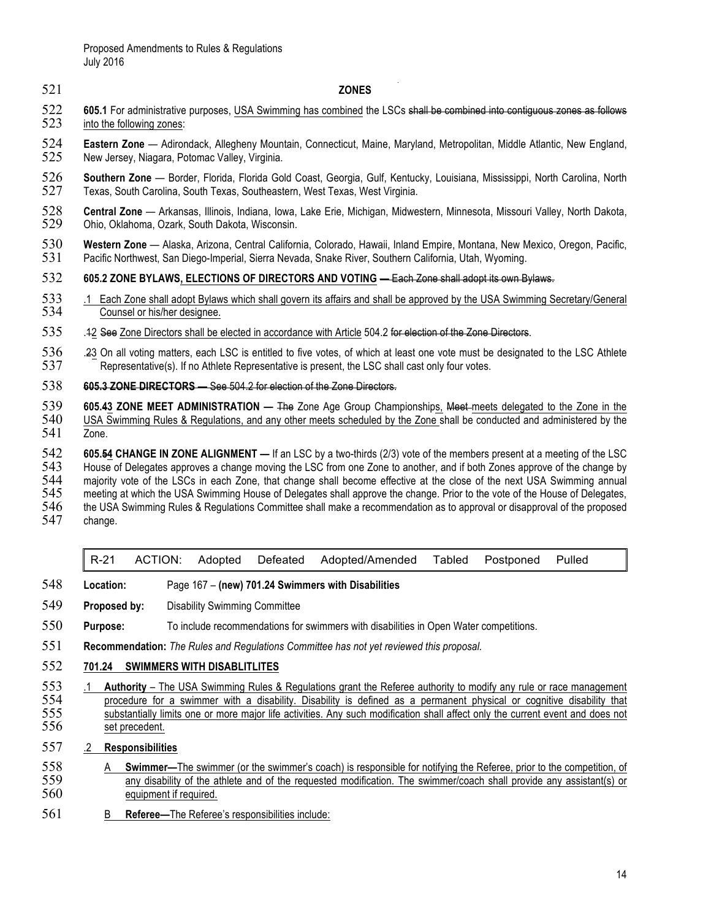# 521 **ZONES**

- 522 **605.1** For administrative purposes, USA Swimming has combined the LSCs shall be combined into contiguous zones as follows 523 into the following zones: into the following zones:
- 524 **Eastern Zone**  Adirondack, Allegheny Mountain, Connecticut, Maine, Maryland, Metropolitan, Middle Atlantic, New England, New Jersey, Niagara, Potomac Valley, Virginia.
- 526 **Southern Zone**  Border, Florida, Florida Gold Coast, Georgia, Gulf, Kentucky, Louisiana, Mississippi, North Carolina, North Texas, South Carolina, South Texas, Southeastern, West Texas, West Virginia.
- 528 **Central Zone** Arkansas, Illinois, Indiana, Iowa, Lake Erie, Michigan, Midwestern, Minnesota, Missouri Valley, North Dakota,<br>529 Ohio, Oklahoma, Ozark, South Dakota, Wisconsin. 529 Ohio, Oklahoma, Ozark, South Dakota, Wisconsin.
- 530 **Western Zone**  Alaska, Arizona, Central California, Colorado, Hawaii, Inland Empire, Montana, New Mexico, Oregon, Pacific, Pacific Northwest, San Diego-Imperial, Sierra Nevada, Snake River, Southern California, Utah, Wyoming.
- 532 **605.2 ZONE BYLAWS, ELECTIONS OF DIRECTORS AND VOTING —** Each Zone shall adopt its own Bylaws.
- 533 .1 Each Zone shall adopt Bylaws which shall govern its affairs and shall be approved by the USA Swimming Secretary/General 534 Counsel or his/her designee. Counsel or his/her designee.
- 535 .12 See Zone Directors shall be elected in accordance with Article 504.2 for election of the Zone Directors.
- 536 .23 On all voting matters, each LSC is entitled to five votes, of which at least one vote must be designated to the LSC Athlete<br>537 Representative(s). If no Athlete Representative is present, the LSC shall cast only fo Representative(s). If no Athlete Representative is present, the LSC shall cast only four votes.
- 538 **605.3 ZONE DIRECTORS —** See 504.2 for election of the Zone Directors.
- 539 **605.43 ZONE MEET ADMINISTRATION —** The Zone Age Group Championships, Meet meets delegated to the Zone in the 540 USA Swimming Rules & Regulations, and any other meets scheduled by the Zone shall be conducted and administered by the 541 Zone.

542 **605.54 CHANGE IN ZONE ALIGNMENT —** If an LSC by a two-thirds (2/3) vote of the members present at a meeting of the LSC 543 House of Delegates approves a change moving the LSC from one Zone to another, and if both Zones approve of the change by<br>544 majority vote of the LSCs in each Zone, that change shall become effective at the close of th 544 majority vote of the LSCs in each Zone, that change shall become effective at the close of the next USA Swimming annual<br>545 meeting at which the USA Swimming House of Delegates shall approve the change. Prior to the vo meeting at which the USA Swimming House of Delegates shall approve the change. Prior to the vote of the House of Delegates, 546 the USA Swimming Rules & Regulations Committee shall make a recommendation as to approval or disapproval of the proposed<br>547 change. change.

# R-21 ACTION: Adopted Defeated Adopted/Amended Tabled Postponed Pulled

- 548 **Location:** Page 167 **(new) 701.24 Swimmers with Disabilities**
- 549 **Proposed by:** Disability Swimming Committee
- 550 **Purpose:** To include recommendations for swimmers with disabilities in Open Water competitions.
- 551 **Recommendation:** *The Rules and Regulations Committee has not yet reviewed this proposal.*

# 552 **701.24 SWIMMERS WITH DISABLITLITES**

- 553 .1 **Authority** The USA Swimming Rules & Regulations grant the Referee authority to modify any rule or race management 554 procedure for a swimmer with a disability. Disability is defined as a permanent physical or cognitive disability that 555 substantially limits one or more major life activities. Any such modification shall affect only substantially limits one or more major life activities. Any such modification shall affect only the current event and does not 556 set precedent.
- 557 .2 **Responsibilities**
- 558 A **Swimmer—**The swimmer (or the swimmer's coach) is responsible for notifying the Referee, prior to the competition, of any disability of the athlete and of the requested modification. The swimmer/coach shall provide a any disability of the athlete and of the requested modification. The swimmer/coach shall provide any assistant(s) or 560 equipment if required.
- 561 B **Referee—**The Referee's responsibilities include: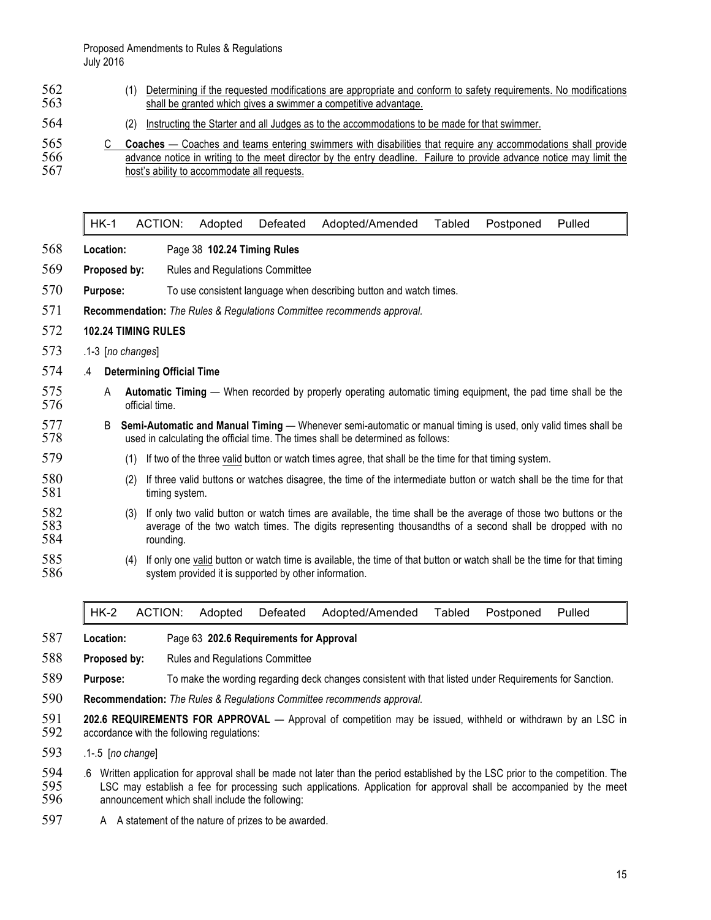Proposed Amendments to Rules & Regulations July 2016

| 562 | Determining if the requested modifications are appropriate and conform to safety requirements. No modifications |
|-----|-----------------------------------------------------------------------------------------------------------------|
| 563 | shall be granted which gives a swimmer a competitive advantage.                                                 |

(2) Instructing the Starter and all Judges as to the accommodations to be made for that swimmer.

HK-1 ACTION: Adopted Defeated Adopted/Amended Tabled Postponed Pulled

- **Location:** Page 38 **102.24 Timing Rules**
- **Proposed by:** Rules and Regulations Committee
- **Purpose:** To use consistent language when describing button and watch times.
- **Recommendation:** *The Rules & Regulations Committee recommends approval.*

#### **102.24 TIMING RULES**

- .1-3 [*no changes*]
- .4 **Determining Official Time**
- A **Automatic Timing**  When recorded by properly operating automatic timing equipment, the pad time shall be the official time.
- B **Semi-Automatic and Manual Timing**  Whenever semi-automatic or manual timing is used, only valid times shall be used in calculating the official time. The times shall be determined as follows:
- (1) If two of the three valid button or watch times agree, that shall be the time for that timing system.
- 580 (2) If three valid buttons or watches disagree, the time of the intermediate button or watch shall be the time for that timing system. timing system.
- 582 (3) If only two valid button or watch times are available, the time shall be the average of those two buttons or the 583 average of the two watch times. The digits representing thousandths of a second shall be dropped average of the two watch times. The digits representing thousandths of a second shall be dropped with no rounding.
- (4) If only one valid button or watch time is available, the time of that button or watch shall be the time for that timing 586 system provided it is supported by other information.

| HK-2 ACTION: Adopted Defeated Adopted/Amended Tabled Postponed Pulled |  |  |  |  |  |
|-----------------------------------------------------------------------|--|--|--|--|--|
|                                                                       |  |  |  |  |  |
|                                                                       |  |  |  |  |  |

#### **Location:** Page 63 **202.6 Requirements for Approval**

- **Proposed by:** Rules and Regulations Committee
- **Purpose:** To make the wording regarding deck changes consistent with that listed under Requirements for Sanction.
- **Recommendation:** *The Rules & Regulations Committee recommends approval.*
- **202.6 REQUIREMENTS FOR APPROVAL**  Approval of competition may be issued, withheld or withdrawn by an LSC in accordance with the following regulations:
- .1-.5 [*no change*]
- 594 .6 Written application for approval shall be made not later than the period established by the LSC prior to the competition. The 595 LSC may establish a fee for processing such applications. Application for approval sh LSC may establish a fee for processing such applications. Application for approval shall be accompanied by the meet announcement which shall include the following:
- 597 A A statement of the nature of prizes to be awarded.

<sup>565</sup> C **Coaches** — Coaches and teams entering swimmers with disabilities that require any accommodations shall provide<br>566 a divance notice in writing to the meet director by the entry deadline. Failure to provide advance n advance notice in writing to the meet director by the entry deadline. Failure to provide advance notice may limit the host's ability to accommodate all requests.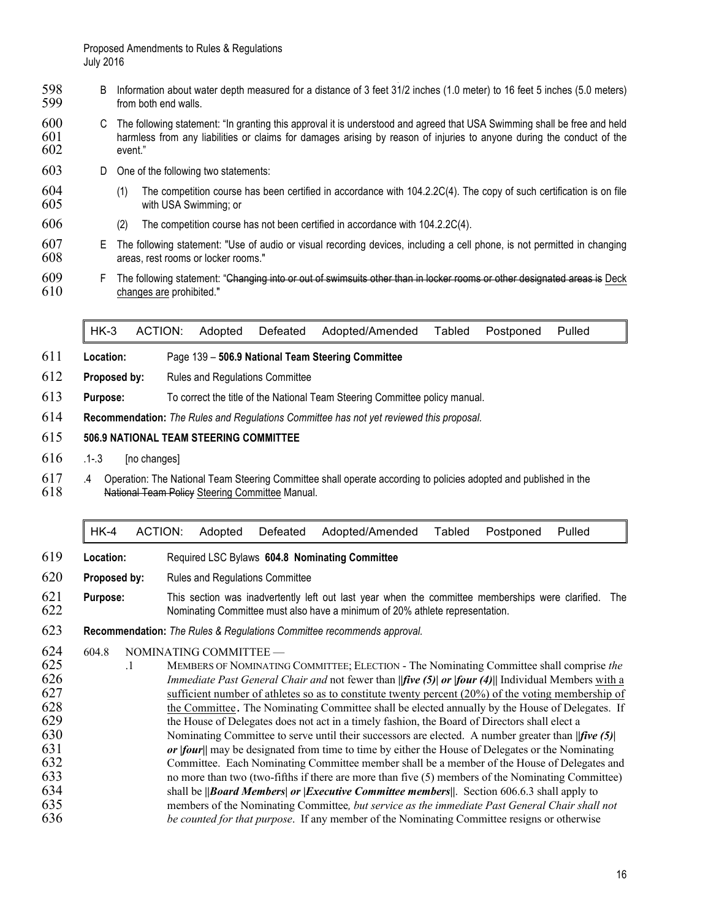- 598 B Information about water depth measured for a distance of 3 feet 31/2 inches (1.0 meter) to 16 feet 5 inches (5.0 meters)<br>599 from both end walls. from both end walls.
- 600 C The following statement: "In granting this approval it is understood and agreed that USA Swimming shall be free and held<br>601 harmless from any liabilities or claims for damages arising by reason of injuries to anyone harmless from any liabilities or claims for damages arising by reason of injuries to anyone during the conduct of the event."
- D One of the following two statements:
- (1) The competition course has been certified in accordance with 104.2.2C(4). The copy of such certification is on file with USA Swimming; or
- (2) The competition course has not been certified in accordance with 104.2.2C(4).
- E The following statement: "Use of audio or visual recording devices, including a cell phone, is not permitted in changing areas, rest rooms or locker rooms."
- F The following statement: "Changing into or out of swimsuits other than in locker rooms or other designated areas is Deck changes are prohibited."

HK-3 ACTION: Adopted Defeated Adopted/Amended Tabled Postponed Pulled

- **Location:** Page 139 **506.9 National Team Steering Committee**
- **Proposed by:** Rules and Regulations Committee
- **Purpose:** To correct the title of the National Team Steering Committee policy manual.
- **Recommendation:** *The Rules and Regulations Committee has not yet reviewed this proposal.*

#### **506.9 NATIONAL TEAM STEERING COMMITTEE**

- .1-.3 [no changes]
- 617 .4 Operation: The National Team Steering Committee shall operate according to policies adopted and published in the 618 ... National Team Policy Steering Committee Manual. National Team Policy Steering Committee Manual.

|  |  | HK-4 ACTION: Adopted Defeated Adopted/Amended Tabled Postponed Pulled |  |  |
|--|--|-----------------------------------------------------------------------|--|--|
|  |  |                                                                       |  |  |

- **Location:** Required LSC Bylaws **604.8 Nominating Committee**
- **Proposed by:** Rules and Regulations Committee
- **Purpose:** This section was inadvertently left out last year when the committee memberships were clarified. The Nominating Committee must also have a minimum of 20% athlete representation.
- **Recommendation:** *The Rules & Regulations Committee recommends approval.*
- 604.8 NOMINATING COMMITTEE —
- .1 MEMBERS OF NOMINATING COMMITTEE; ELECTION The Nominating Committee shall comprise *the Immediate Past General Chair and* not fewer than **|***|five (5)| or |four (4)|***|** Individual Members with a sufficient number of athletes so as to constitute twenty percent (20%) of the voting membership of 628 the Committee. The Nominating Committee shall be elected annually by the House of Delegates. If<br>629 the House of Delegates does not act in a timely fashion, the Board of Directors shall elect a the House of Delegates does not act in a timely fashion, the Board of Directors shall elect a Nominating Committee to serve until their successors are elected. A number greater than **|***|five (5)| or |four|***|** may be designated from time to time by either the House of Delegates or the Nominating Committee. Each Nominating Committee member shall be a member of the House of Delegates and no more than two (two-fifths if there are more than five (5) members of the Nominating Committee) shall be **|***|Board Members| or |Executive Committee members|***|**. Section 606.6.3 shall apply to members of the Nominating Committee*, but service as the immediate Past General Chair shall not be counted for that purpose*. If any member of the Nominating Committee resigns or otherwise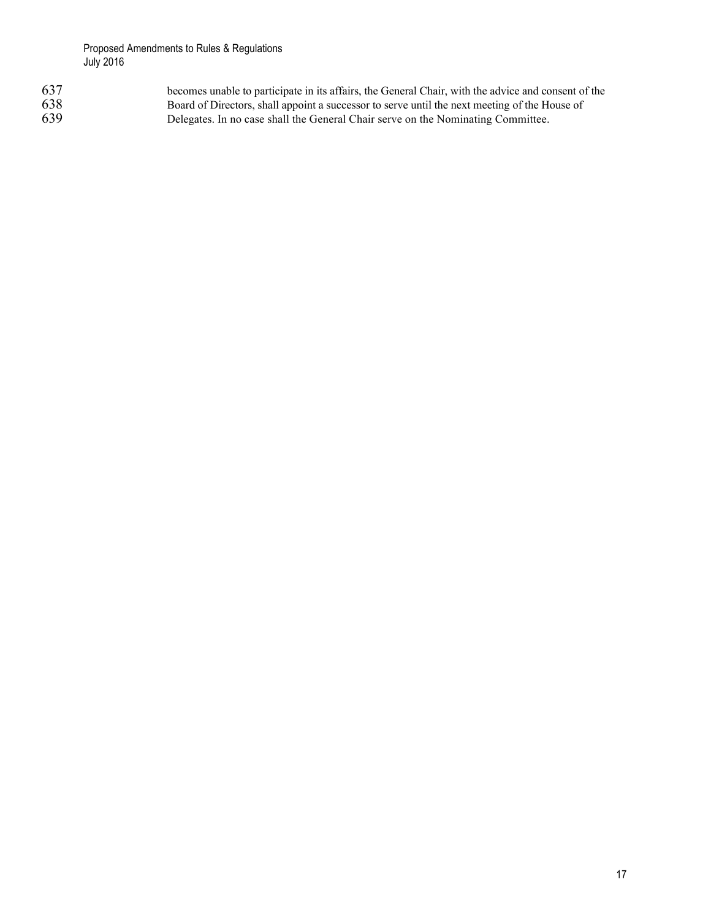| 637 | becomes unable to participate in its affairs, the General Chair, with the advice and consent of the |
|-----|-----------------------------------------------------------------------------------------------------|
| 638 | Board of Directors, shall appoint a successor to serve until the next meeting of the House of       |
| 639 | Delegates. In no case shall the General Chair serve on the Nominating Committee.                    |